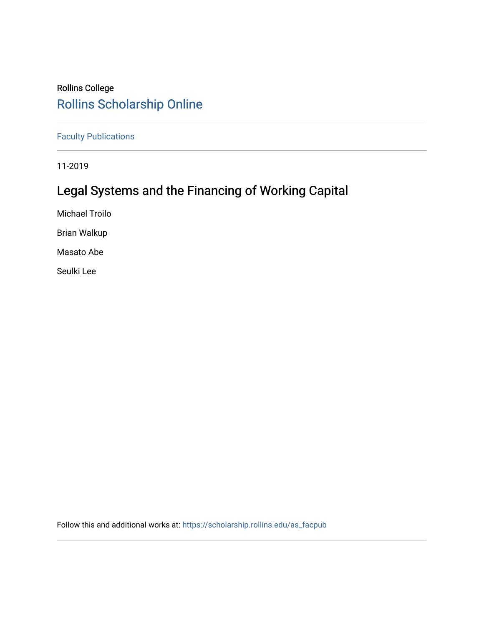# Rollins College [Rollins Scholarship Online](https://scholarship.rollins.edu/)

[Faculty Publications](https://scholarship.rollins.edu/as_facpub)

11-2019

# Legal Systems and the Financing of Working Capital

Michael Troilo

Brian Walkup

Masato Abe

Seulki Lee

Follow this and additional works at: [https://scholarship.rollins.edu/as\\_facpub](https://scholarship.rollins.edu/as_facpub?utm_source=scholarship.rollins.edu%2Fas_facpub%2F250&utm_medium=PDF&utm_campaign=PDFCoverPages)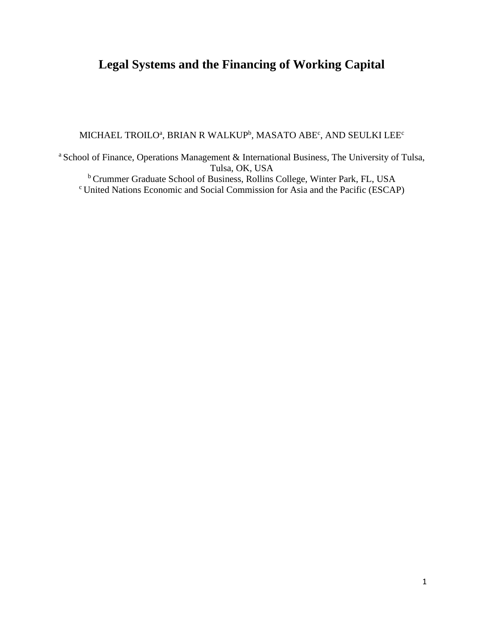# **Legal Systems and the Financing of Working Capital**

 $\rm MICHAEL$   $\rm TROILO^a,$   $\rm BRIAN$   $\rm R$   $\rm WALKUP^b,$   $\rm MASATO$   $\rm ABE^c,$   $\rm AND$   $\rm SEULKI$   $\rm LEE^c$ 

<sup>a</sup> School of Finance, Operations Management  $\&$  International Business, The University of Tulsa, Tulsa, OK, USA <sup>b</sup> Crummer Graduate School of Business, Rollins College, Winter Park, FL, USA <sup>c</sup>United Nations Economic and Social Commission for Asia and the Pacific (ESCAP)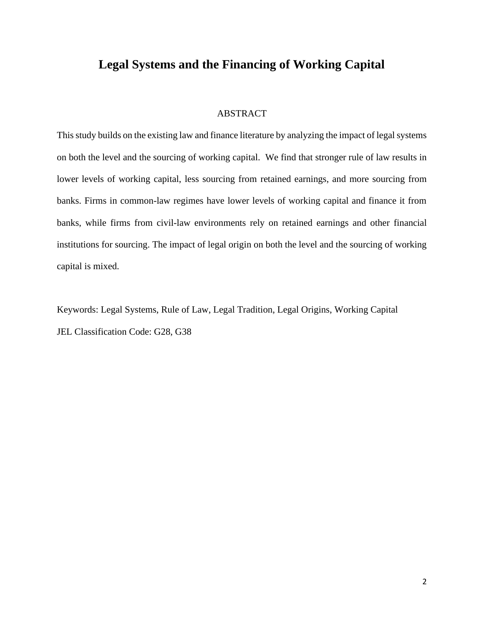# **Legal Systems and the Financing of Working Capital**

# ABSTRACT

This study builds on the existing law and finance literature by analyzing the impact of legal systems on both the level and the sourcing of working capital. We find that stronger rule of law results in lower levels of working capital, less sourcing from retained earnings, and more sourcing from banks. Firms in common-law regimes have lower levels of working capital and finance it from banks, while firms from civil-law environments rely on retained earnings and other financial institutions for sourcing. The impact of legal origin on both the level and the sourcing of working capital is mixed.

Keywords: Legal Systems, Rule of Law, Legal Tradition, Legal Origins, Working Capital JEL Classification Code: G28, G38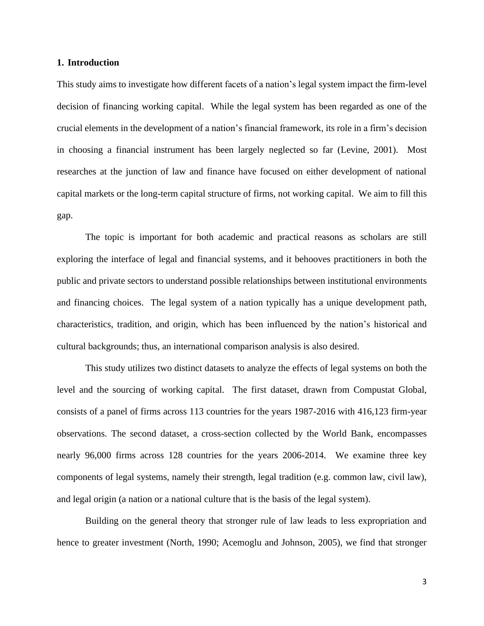#### **1. Introduction**

This study aims to investigate how different facets of a nation's legal system impact the firm-level decision of financing working capital. While the legal system has been regarded as one of the crucial elements in the development of a nation's financial framework, its role in a firm's decision in choosing a financial instrument has been largely neglected so far (Levine, 2001). Most researches at the junction of law and finance have focused on either development of national capital markets or the long-term capital structure of firms, not working capital. We aim to fill this gap.

The topic is important for both academic and practical reasons as scholars are still exploring the interface of legal and financial systems, and it behooves practitioners in both the public and private sectors to understand possible relationships between institutional environments and financing choices. The legal system of a nation typically has a unique development path, characteristics, tradition, and origin, which has been influenced by the nation's historical and cultural backgrounds; thus, an international comparison analysis is also desired.

This study utilizes two distinct datasets to analyze the effects of legal systems on both the level and the sourcing of working capital. The first dataset, drawn from Compustat Global, consists of a panel of firms across 113 countries for the years 1987-2016 with 416,123 firm-year observations. The second dataset, a cross-section collected by the World Bank, encompasses nearly 96,000 firms across 128 countries for the years 2006-2014. We examine three key components of legal systems, namely their strength, legal tradition (e.g. common law, civil law), and legal origin (a nation or a national culture that is the basis of the legal system).

Building on the general theory that stronger rule of law leads to less expropriation and hence to greater investment (North, 1990; Acemoglu and Johnson, 2005), we find that stronger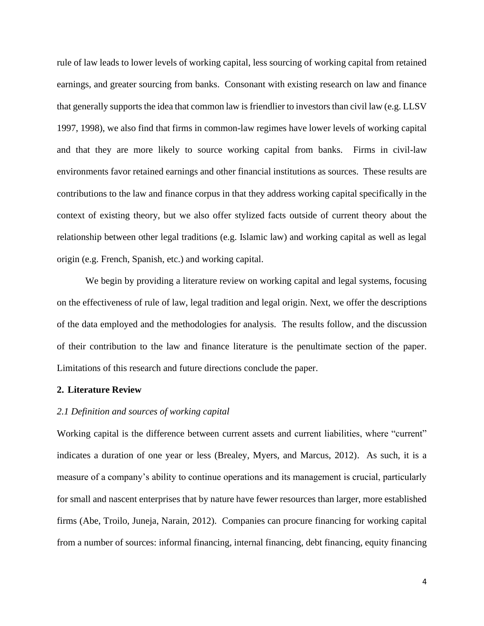rule of law leads to lower levels of working capital, less sourcing of working capital from retained earnings, and greater sourcing from banks. Consonant with existing research on law and finance that generally supports the idea that common law is friendlier to investors than civil law (e.g. LLSV 1997, 1998), we also find that firms in common-law regimes have lower levels of working capital and that they are more likely to source working capital from banks. Firms in civil-law environments favor retained earnings and other financial institutions as sources. These results are contributions to the law and finance corpus in that they address working capital specifically in the context of existing theory, but we also offer stylized facts outside of current theory about the relationship between other legal traditions (e.g. Islamic law) and working capital as well as legal origin (e.g. French, Spanish, etc.) and working capital.

We begin by providing a literature review on working capital and legal systems, focusing on the effectiveness of rule of law, legal tradition and legal origin. Next, we offer the descriptions of the data employed and the methodologies for analysis. The results follow, and the discussion of their contribution to the law and finance literature is the penultimate section of the paper. Limitations of this research and future directions conclude the paper.

### **2. Literature Review**

### *2.1 Definition and sources of working capital*

Working capital is the difference between current assets and current liabilities, where "current" indicates a duration of one year or less (Brealey, Myers, and Marcus, 2012). As such, it is a measure of a company's ability to continue operations and its management is crucial, particularly for small and nascent enterprises that by nature have fewer resources than larger, more established firms (Abe, Troilo, Juneja, Narain, 2012). Companies can procure financing for working capital from a number of sources: informal financing, internal financing, debt financing, equity financing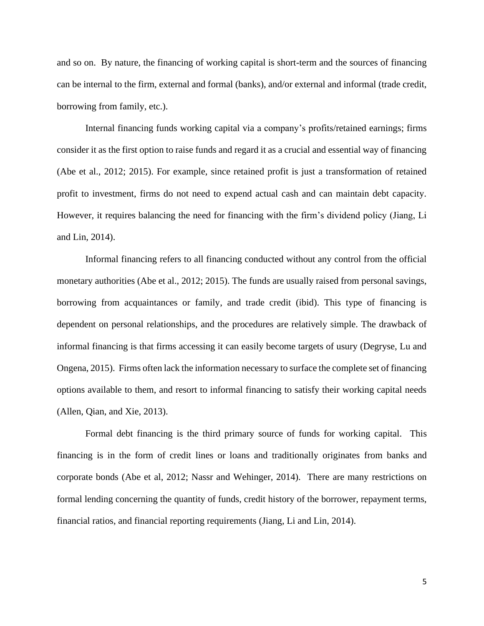and so on. By nature, the financing of working capital is short-term and the sources of financing can be internal to the firm, external and formal (banks), and/or external and informal (trade credit, borrowing from family, etc.).

Internal financing funds working capital via a company's profits/retained earnings; firms consider it as the first option to raise funds and regard it as a crucial and essential way of financing (Abe et al., 2012; 2015). For example, since retained profit is just a transformation of retained profit to investment, firms do not need to expend actual cash and can maintain debt capacity. However, it requires balancing the need for financing with the firm's dividend policy (Jiang, Li and Lin, 2014).

Informal financing refers to all financing conducted without any control from the official monetary authorities (Abe et al., 2012; 2015). The funds are usually raised from personal savings, borrowing from acquaintances or family, and trade credit (ibid). This type of financing is dependent on personal relationships, and the procedures are relatively simple. The drawback of informal financing is that firms accessing it can easily become targets of usury (Degryse, Lu and Ongena, 2015). Firms often lack the information necessary to surface the complete set of financing options available to them, and resort to informal financing to satisfy their working capital needs (Allen, Qian, and Xie, 2013).

Formal debt financing is the third primary source of funds for working capital. This financing is in the form of credit lines or loans and traditionally originates from banks and corporate bonds (Abe et al, 2012; Nassr and Wehinger, 2014). There are many restrictions on formal lending concerning the quantity of funds, credit history of the borrower, repayment terms, financial ratios, and financial reporting requirements (Jiang, Li and Lin, 2014).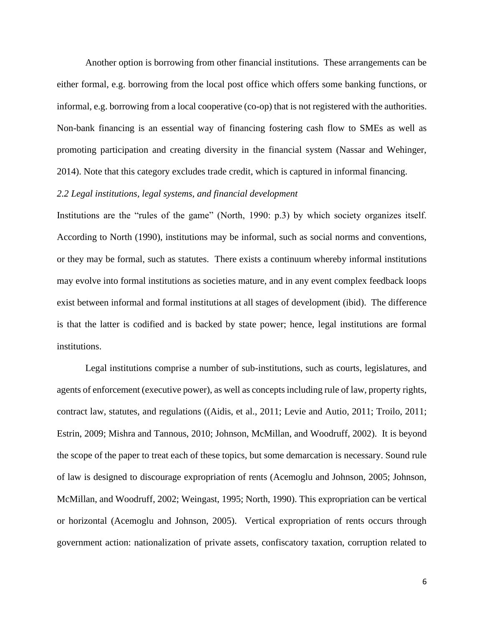Another option is borrowing from other financial institutions. These arrangements can be either formal, e.g. borrowing from the local post office which offers some banking functions, or informal, e.g. borrowing from a local cooperative (co-op) that is not registered with the authorities. Non-bank financing is an essential way of financing fostering cash flow to SMEs as well as promoting participation and creating diversity in the financial system (Nassar and Wehinger, 2014). Note that this category excludes trade credit, which is captured in informal financing.

# *2.2 Legal institutions, legal systems, and financial development*

Institutions are the "rules of the game" (North, 1990: p.3) by which society organizes itself. According to North (1990), institutions may be informal, such as social norms and conventions, or they may be formal, such as statutes. There exists a continuum whereby informal institutions may evolve into formal institutions as societies mature, and in any event complex feedback loops exist between informal and formal institutions at all stages of development (ibid). The difference is that the latter is codified and is backed by state power; hence, legal institutions are formal institutions.

Legal institutions comprise a number of sub-institutions, such as courts, legislatures, and agents of enforcement (executive power), as well as concepts including rule of law, property rights, contract law, statutes, and regulations ((Aidis, et al., 2011; Levie and Autio, 2011; Troilo, 2011; Estrin, 2009; Mishra and Tannous, 2010; Johnson, McMillan, and Woodruff, 2002). It is beyond the scope of the paper to treat each of these topics, but some demarcation is necessary. Sound rule of law is designed to discourage expropriation of rents (Acemoglu and Johnson, 2005; Johnson, McMillan, and Woodruff, 2002; Weingast, 1995; North, 1990). This expropriation can be vertical or horizontal (Acemoglu and Johnson, 2005). Vertical expropriation of rents occurs through government action: nationalization of private assets, confiscatory taxation, corruption related to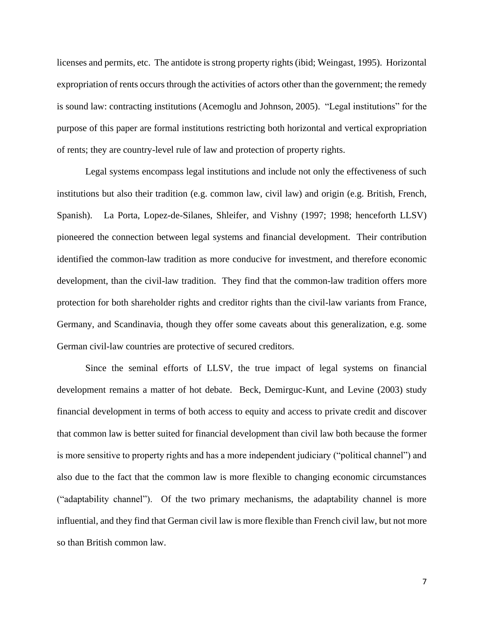licenses and permits, etc. The antidote is strong property rights (ibid; Weingast, 1995). Horizontal expropriation of rents occurs through the activities of actors other than the government; the remedy is sound law: contracting institutions (Acemoglu and Johnson, 2005). "Legal institutions" for the purpose of this paper are formal institutions restricting both horizontal and vertical expropriation of rents; they are country-level rule of law and protection of property rights.

Legal systems encompass legal institutions and include not only the effectiveness of such institutions but also their tradition (e.g. common law, civil law) and origin (e.g. British, French, Spanish). La Porta, Lopez-de-Silanes, Shleifer, and Vishny (1997; 1998; henceforth LLSV) pioneered the connection between legal systems and financial development. Their contribution identified the common-law tradition as more conducive for investment, and therefore economic development, than the civil-law tradition. They find that the common-law tradition offers more protection for both shareholder rights and creditor rights than the civil-law variants from France, Germany, and Scandinavia, though they offer some caveats about this generalization, e.g. some German civil-law countries are protective of secured creditors.

Since the seminal efforts of LLSV, the true impact of legal systems on financial development remains a matter of hot debate. Beck, Demirguc-Kunt, and Levine (2003) study financial development in terms of both access to equity and access to private credit and discover that common law is better suited for financial development than civil law both because the former is more sensitive to property rights and has a more independent judiciary ("political channel") and also due to the fact that the common law is more flexible to changing economic circumstances ("adaptability channel"). Of the two primary mechanisms, the adaptability channel is more influential, and they find that German civil law is more flexible than French civil law, but not more so than British common law.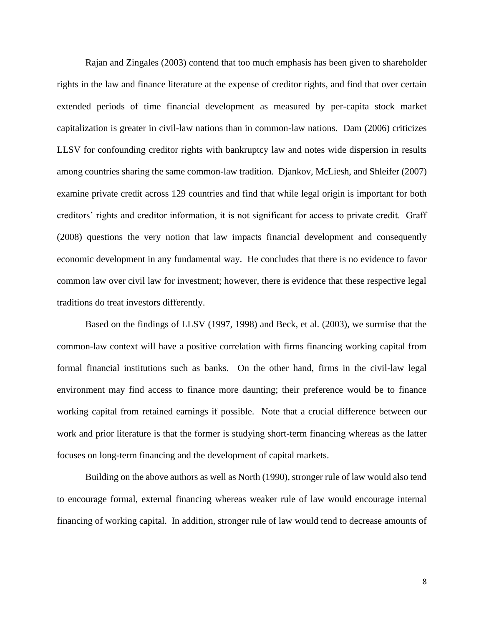Rajan and Zingales (2003) contend that too much emphasis has been given to shareholder rights in the law and finance literature at the expense of creditor rights, and find that over certain extended periods of time financial development as measured by per-capita stock market capitalization is greater in civil-law nations than in common-law nations. Dam (2006) criticizes LLSV for confounding creditor rights with bankruptcy law and notes wide dispersion in results among countries sharing the same common-law tradition. Djankov, McLiesh, and Shleifer (2007) examine private credit across 129 countries and find that while legal origin is important for both creditors' rights and creditor information, it is not significant for access to private credit. Graff (2008) questions the very notion that law impacts financial development and consequently economic development in any fundamental way. He concludes that there is no evidence to favor common law over civil law for investment; however, there is evidence that these respective legal traditions do treat investors differently.

Based on the findings of LLSV (1997, 1998) and Beck, et al. (2003), we surmise that the common-law context will have a positive correlation with firms financing working capital from formal financial institutions such as banks. On the other hand, firms in the civil-law legal environment may find access to finance more daunting; their preference would be to finance working capital from retained earnings if possible. Note that a crucial difference between our work and prior literature is that the former is studying short-term financing whereas as the latter focuses on long-term financing and the development of capital markets.

Building on the above authors as well as North (1990), stronger rule of law would also tend to encourage formal, external financing whereas weaker rule of law would encourage internal financing of working capital. In addition, stronger rule of law would tend to decrease amounts of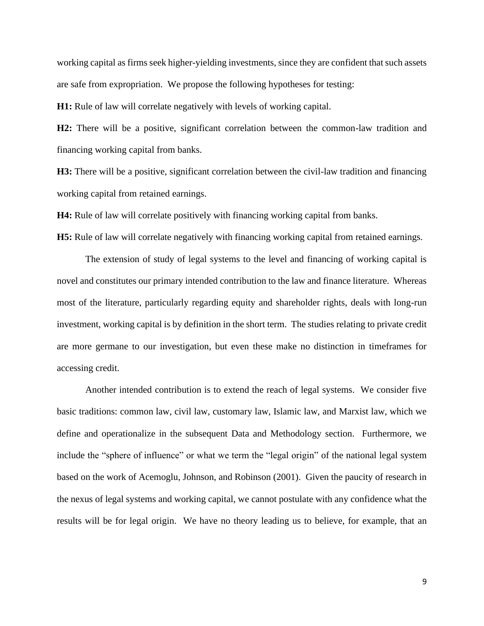working capital as firms seek higher-yielding investments, since they are confident that such assets are safe from expropriation. We propose the following hypotheses for testing:

**H1:** Rule of law will correlate negatively with levels of working capital.

**H2:** There will be a positive, significant correlation between the common-law tradition and financing working capital from banks.

**H3:** There will be a positive, significant correlation between the civil-law tradition and financing working capital from retained earnings.

**H4:** Rule of law will correlate positively with financing working capital from banks.

**H5:** Rule of law will correlate negatively with financing working capital from retained earnings.

The extension of study of legal systems to the level and financing of working capital is novel and constitutes our primary intended contribution to the law and finance literature. Whereas most of the literature, particularly regarding equity and shareholder rights, deals with long-run investment, working capital is by definition in the short term. The studies relating to private credit are more germane to our investigation, but even these make no distinction in timeframes for accessing credit.

Another intended contribution is to extend the reach of legal systems. We consider five basic traditions: common law, civil law, customary law, Islamic law, and Marxist law, which we define and operationalize in the subsequent Data and Methodology section. Furthermore, we include the "sphere of influence" or what we term the "legal origin" of the national legal system based on the work of Acemoglu, Johnson, and Robinson (2001). Given the paucity of research in the nexus of legal systems and working capital, we cannot postulate with any confidence what the results will be for legal origin. We have no theory leading us to believe, for example, that an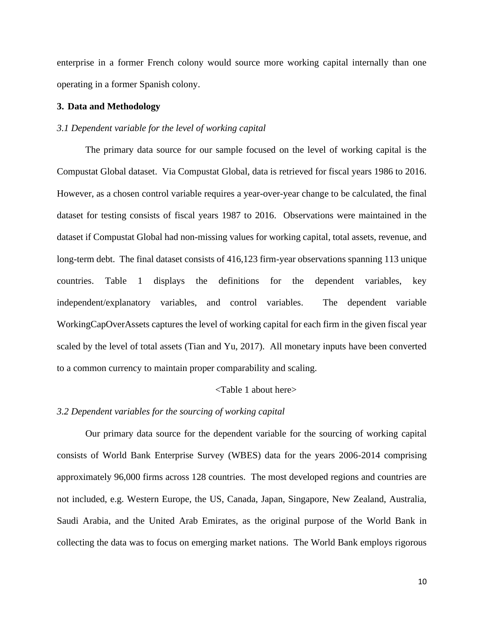enterprise in a former French colony would source more working capital internally than one operating in a former Spanish colony.

# **3. Data and Methodology**

# *3.1 Dependent variable for the level of working capital*

The primary data source for our sample focused on the level of working capital is the Compustat Global dataset. Via Compustat Global, data is retrieved for fiscal years 1986 to 2016. However, as a chosen control variable requires a year-over-year change to be calculated, the final dataset for testing consists of fiscal years 1987 to 2016. Observations were maintained in the dataset if Compustat Global had non-missing values for working capital, total assets, revenue, and long-term debt. The final dataset consists of 416,123 firm-year observations spanning 113 unique countries. Table 1 displays the definitions for the dependent variables, key independent/explanatory variables, and control variables. The dependent variable WorkingCapOverAssets captures the level of working capital for each firm in the given fiscal year scaled by the level of total assets (Tian and Yu, 2017). All monetary inputs have been converted to a common currency to maintain proper comparability and scaling.

#### <Table 1 about here>

### *3.2 Dependent variables for the sourcing of working capital*

Our primary data source for the dependent variable for the sourcing of working capital consists of World Bank Enterprise Survey (WBES) data for the years 2006-2014 comprising approximately 96,000 firms across 128 countries. The most developed regions and countries are not included, e.g. Western Europe, the US, Canada, Japan, Singapore, New Zealand, Australia, Saudi Arabia, and the United Arab Emirates, as the original purpose of the World Bank in collecting the data was to focus on emerging market nations. The World Bank employs rigorous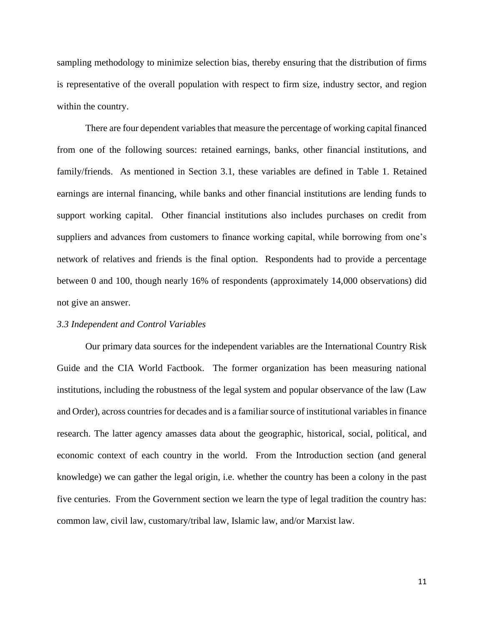sampling methodology to minimize selection bias, thereby ensuring that the distribution of firms is representative of the overall population with respect to firm size, industry sector, and region within the country.

There are four dependent variables that measure the percentage of working capital financed from one of the following sources: retained earnings, banks, other financial institutions, and family/friends. As mentioned in Section 3.1, these variables are defined in Table 1. Retained earnings are internal financing, while banks and other financial institutions are lending funds to support working capital. Other financial institutions also includes purchases on credit from suppliers and advances from customers to finance working capital, while borrowing from one's network of relatives and friends is the final option. Respondents had to provide a percentage between 0 and 100, though nearly 16% of respondents (approximately 14,000 observations) did not give an answer.

#### *3.3 Independent and Control Variables*

Our primary data sources for the independent variables are the International Country Risk Guide and the CIA World Factbook. The former organization has been measuring national institutions, including the robustness of the legal system and popular observance of the law (Law and Order), across countries for decades and is a familiar source of institutional variables in finance research. The latter agency amasses data about the geographic, historical, social, political, and economic context of each country in the world. From the Introduction section (and general knowledge) we can gather the legal origin, i.e. whether the country has been a colony in the past five centuries. From the Government section we learn the type of legal tradition the country has: common law, civil law, customary/tribal law, Islamic law, and/or Marxist law.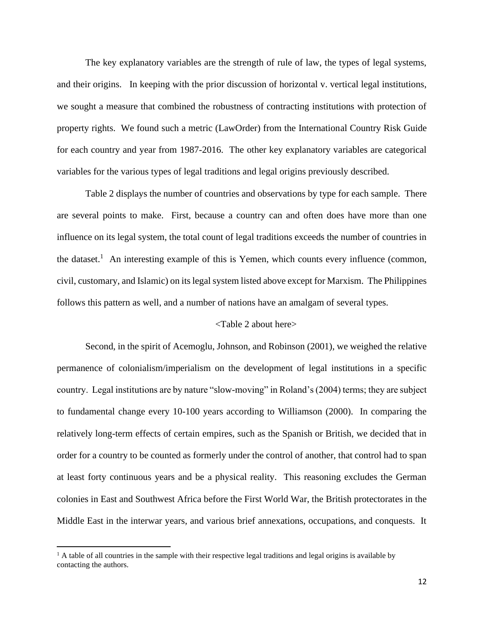The key explanatory variables are the strength of rule of law, the types of legal systems, and their origins. In keeping with the prior discussion of horizontal v. vertical legal institutions, we sought a measure that combined the robustness of contracting institutions with protection of property rights. We found such a metric (LawOrder) from the International Country Risk Guide for each country and year from 1987-2016. The other key explanatory variables are categorical variables for the various types of legal traditions and legal origins previously described.

Table 2 displays the number of countries and observations by type for each sample. There are several points to make. First, because a country can and often does have more than one influence on its legal system, the total count of legal traditions exceeds the number of countries in the dataset.<sup>1</sup> An interesting example of this is Yemen, which counts every influence (common, civil, customary, and Islamic) on its legal system listed above except for Marxism. The Philippines follows this pattern as well, and a number of nations have an amalgam of several types.

### <Table 2 about here>

Second, in the spirit of Acemoglu, Johnson, and Robinson (2001), we weighed the relative permanence of colonialism/imperialism on the development of legal institutions in a specific country. Legal institutions are by nature "slow-moving" in Roland's (2004) terms; they are subject to fundamental change every 10-100 years according to Williamson (2000). In comparing the relatively long-term effects of certain empires, such as the Spanish or British, we decided that in order for a country to be counted as formerly under the control of another, that control had to span at least forty continuous years and be a physical reality. This reasoning excludes the German colonies in East and Southwest Africa before the First World War, the British protectorates in the Middle East in the interwar years, and various brief annexations, occupations, and conquests. It

 $<sup>1</sup>$  A table of all countries in the sample with their respective legal traditions and legal origins is available by</sup> contacting the authors.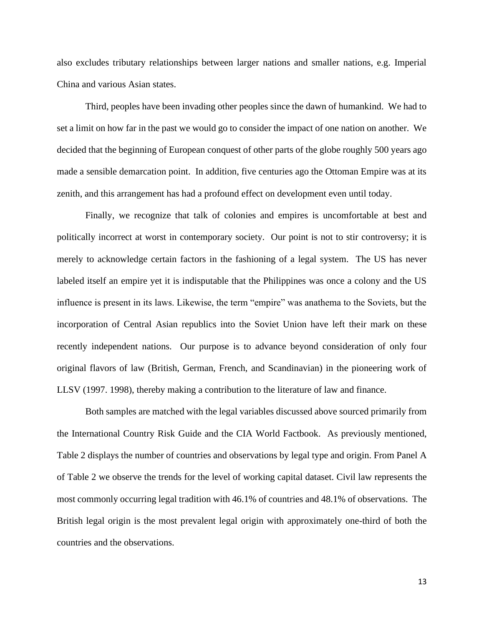also excludes tributary relationships between larger nations and smaller nations, e.g. Imperial China and various Asian states.

Third, peoples have been invading other peoples since the dawn of humankind. We had to set a limit on how far in the past we would go to consider the impact of one nation on another. We decided that the beginning of European conquest of other parts of the globe roughly 500 years ago made a sensible demarcation point. In addition, five centuries ago the Ottoman Empire was at its zenith, and this arrangement has had a profound effect on development even until today.

Finally, we recognize that talk of colonies and empires is uncomfortable at best and politically incorrect at worst in contemporary society. Our point is not to stir controversy; it is merely to acknowledge certain factors in the fashioning of a legal system. The US has never labeled itself an empire yet it is indisputable that the Philippines was once a colony and the US influence is present in its laws. Likewise, the term "empire" was anathema to the Soviets, but the incorporation of Central Asian republics into the Soviet Union have left their mark on these recently independent nations. Our purpose is to advance beyond consideration of only four original flavors of law (British, German, French, and Scandinavian) in the pioneering work of LLSV (1997. 1998), thereby making a contribution to the literature of law and finance.

Both samples are matched with the legal variables discussed above sourced primarily from the International Country Risk Guide and the CIA World Factbook. As previously mentioned, Table 2 displays the number of countries and observations by legal type and origin. From Panel A of Table 2 we observe the trends for the level of working capital dataset. Civil law represents the most commonly occurring legal tradition with 46.1% of countries and 48.1% of observations. The British legal origin is the most prevalent legal origin with approximately one-third of both the countries and the observations.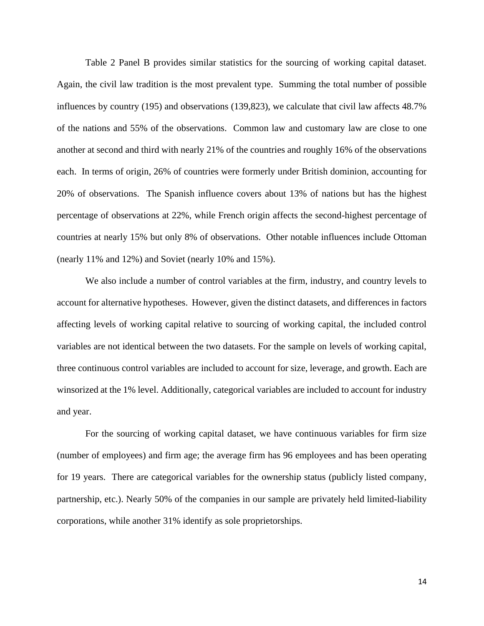Table 2 Panel B provides similar statistics for the sourcing of working capital dataset. Again, the civil law tradition is the most prevalent type. Summing the total number of possible influences by country (195) and observations (139,823), we calculate that civil law affects 48.7% of the nations and 55% of the observations. Common law and customary law are close to one another at second and third with nearly 21% of the countries and roughly 16% of the observations each. In terms of origin, 26% of countries were formerly under British dominion, accounting for 20% of observations. The Spanish influence covers about 13% of nations but has the highest percentage of observations at 22%, while French origin affects the second-highest percentage of countries at nearly 15% but only 8% of observations. Other notable influences include Ottoman (nearly 11% and 12%) and Soviet (nearly 10% and 15%).

We also include a number of control variables at the firm, industry, and country levels to account for alternative hypotheses. However, given the distinct datasets, and differences in factors affecting levels of working capital relative to sourcing of working capital, the included control variables are not identical between the two datasets. For the sample on levels of working capital, three continuous control variables are included to account for size, leverage, and growth. Each are winsorized at the 1% level. Additionally, categorical variables are included to account for industry and year.

For the sourcing of working capital dataset, we have continuous variables for firm size (number of employees) and firm age; the average firm has 96 employees and has been operating for 19 years. There are categorical variables for the ownership status (publicly listed company, partnership, etc.). Nearly 50% of the companies in our sample are privately held limited-liability corporations, while another 31% identify as sole proprietorships.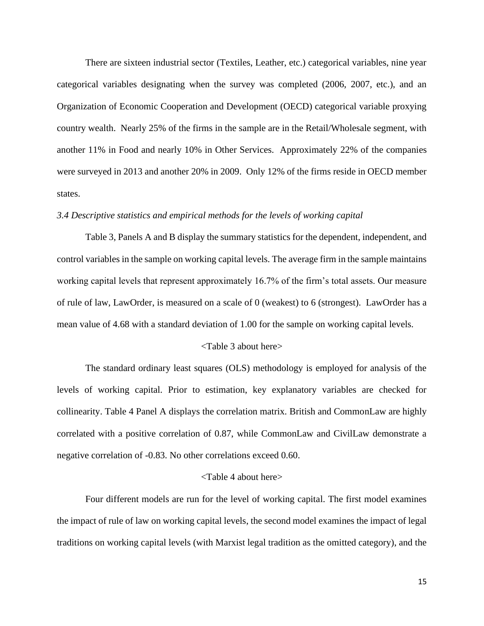There are sixteen industrial sector (Textiles, Leather, etc.) categorical variables, nine year categorical variables designating when the survey was completed (2006, 2007, etc.), and an Organization of Economic Cooperation and Development (OECD) categorical variable proxying country wealth. Nearly 25% of the firms in the sample are in the Retail/Wholesale segment, with another 11% in Food and nearly 10% in Other Services. Approximately 22% of the companies were surveyed in 2013 and another 20% in 2009. Only 12% of the firms reside in OECD member states.

# *3.4 Descriptive statistics and empirical methods for the levels of working capital*

Table 3, Panels A and B display the summary statistics for the dependent, independent, and control variables in the sample on working capital levels. The average firm in the sample maintains working capital levels that represent approximately 16.7% of the firm's total assets. Our measure of rule of law, LawOrder, is measured on a scale of 0 (weakest) to 6 (strongest). LawOrder has a mean value of 4.68 with a standard deviation of 1.00 for the sample on working capital levels.

#### <Table 3 about here>

The standard ordinary least squares (OLS) methodology is employed for analysis of the levels of working capital. Prior to estimation, key explanatory variables are checked for collinearity. Table 4 Panel A displays the correlation matrix. British and CommonLaw are highly correlated with a positive correlation of 0.87, while CommonLaw and CivilLaw demonstrate a negative correlation of -0.83. No other correlations exceed 0.60.

#### <Table 4 about here>

Four different models are run for the level of working capital. The first model examines the impact of rule of law on working capital levels, the second model examines the impact of legal traditions on working capital levels (with Marxist legal tradition as the omitted category), and the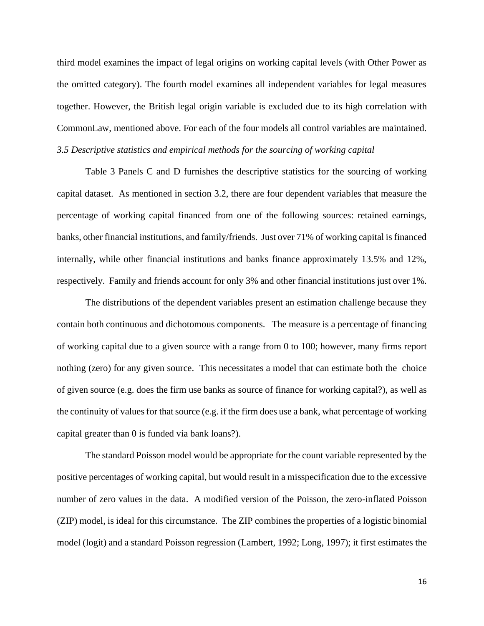third model examines the impact of legal origins on working capital levels (with Other Power as the omitted category). The fourth model examines all independent variables for legal measures together. However, the British legal origin variable is excluded due to its high correlation with CommonLaw, mentioned above. For each of the four models all control variables are maintained. *3.5 Descriptive statistics and empirical methods for the sourcing of working capital*

Table 3 Panels C and D furnishes the descriptive statistics for the sourcing of working capital dataset. As mentioned in section 3.2, there are four dependent variables that measure the percentage of working capital financed from one of the following sources: retained earnings, banks, other financial institutions, and family/friends. Just over 71% of working capital is financed internally, while other financial institutions and banks finance approximately 13.5% and 12%, respectively. Family and friends account for only 3% and other financial institutions just over 1%.

The distributions of the dependent variables present an estimation challenge because they contain both continuous and dichotomous components. The measure is a percentage of financing of working capital due to a given source with a range from 0 to 100; however, many firms report nothing (zero) for any given source. This necessitates a model that can estimate both the choice of given source (e.g. does the firm use banks as source of finance for working capital?), as well as the continuity of values for that source (e.g. if the firm does use a bank, what percentage of working capital greater than 0 is funded via bank loans?).

The standard Poisson model would be appropriate for the count variable represented by the positive percentages of working capital, but would result in a misspecification due to the excessive number of zero values in the data. A modified version of the Poisson, the zero-inflated Poisson (ZIP) model, is ideal for this circumstance. The ZIP combines the properties of a logistic binomial model (logit) and a standard Poisson regression (Lambert, 1992; Long, 1997); it first estimates the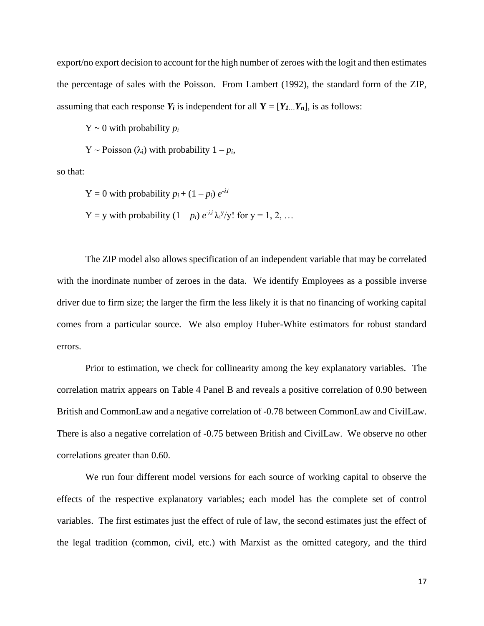export/no export decision to account for the high number of zeroes with the logit and then estimates the percentage of sales with the Poisson. From Lambert (1992), the standard form of the ZIP, assuming that each response  $Y_i$  is independent for all  $Y = [Y_i, Y_i]$ , is as follows:

 $Y \sim 0$  with probability  $p_i$ 

 $Y \sim \text{Poisson}(\lambda_i)$  with probability  $1 - p_i$ ,

so that:

 $Y = 0$  with probability  $p_i + (1 - p_i) e^{-\lambda i}$  $Y = y$  with probability  $(1 - p_i) e^{-\lambda i} \lambda_i y / y!$  for  $y = 1, 2, ...$ 

The ZIP model also allows specification of an independent variable that may be correlated with the inordinate number of zeroes in the data. We identify Employees as a possible inverse driver due to firm size; the larger the firm the less likely it is that no financing of working capital comes from a particular source. We also employ Huber-White estimators for robust standard errors.

Prior to estimation, we check for collinearity among the key explanatory variables. The correlation matrix appears on Table 4 Panel B and reveals a positive correlation of 0.90 between British and CommonLaw and a negative correlation of -0.78 between CommonLaw and CivilLaw. There is also a negative correlation of -0.75 between British and CivilLaw. We observe no other correlations greater than 0.60.

We run four different model versions for each source of working capital to observe the effects of the respective explanatory variables; each model has the complete set of control variables. The first estimates just the effect of rule of law, the second estimates just the effect of the legal tradition (common, civil, etc.) with Marxist as the omitted category, and the third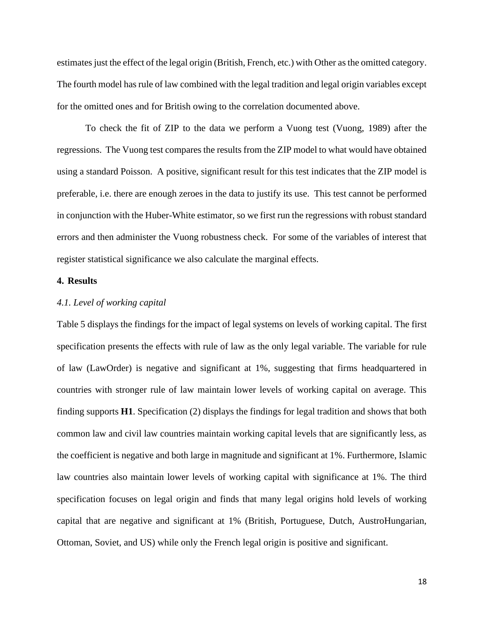estimates just the effect of the legal origin (British, French, etc.) with Other as the omitted category. The fourth model has rule of law combined with the legal tradition and legal origin variables except for the omitted ones and for British owing to the correlation documented above.

To check the fit of ZIP to the data we perform a Vuong test (Vuong, 1989) after the regressions. The Vuong test compares the results from the ZIP model to what would have obtained using a standard Poisson. A positive, significant result for this test indicates that the ZIP model is preferable, i.e. there are enough zeroes in the data to justify its use. This test cannot be performed in conjunction with the Huber-White estimator, so we first run the regressions with robust standard errors and then administer the Vuong robustness check. For some of the variables of interest that register statistical significance we also calculate the marginal effects.

#### **4. Results**

#### *4.1. Level of working capital*

Table 5 displays the findings for the impact of legal systems on levels of working capital. The first specification presents the effects with rule of law as the only legal variable. The variable for rule of law (LawOrder) is negative and significant at 1%, suggesting that firms headquartered in countries with stronger rule of law maintain lower levels of working capital on average. This finding supports **H1**. Specification (2) displays the findings for legal tradition and shows that both common law and civil law countries maintain working capital levels that are significantly less, as the coefficient is negative and both large in magnitude and significant at 1%. Furthermore, Islamic law countries also maintain lower levels of working capital with significance at 1%. The third specification focuses on legal origin and finds that many legal origins hold levels of working capital that are negative and significant at 1% (British, Portuguese, Dutch, AustroHungarian, Ottoman, Soviet, and US) while only the French legal origin is positive and significant.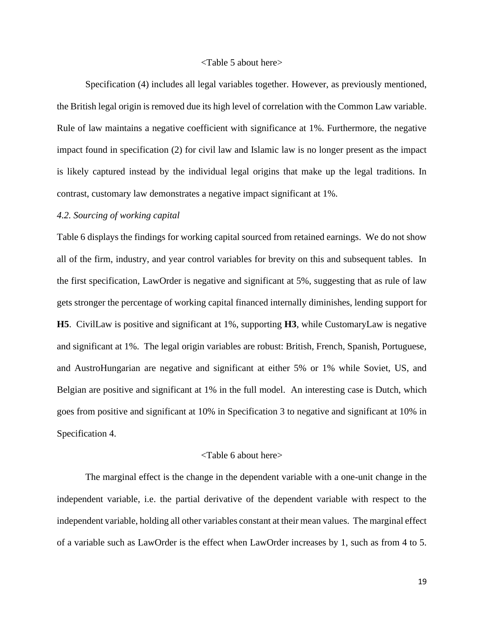#### <Table 5 about here>

Specification (4) includes all legal variables together. However, as previously mentioned, the British legal origin is removed due its high level of correlation with the Common Law variable. Rule of law maintains a negative coefficient with significance at 1%. Furthermore, the negative impact found in specification (2) for civil law and Islamic law is no longer present as the impact is likely captured instead by the individual legal origins that make up the legal traditions. In contrast, customary law demonstrates a negative impact significant at 1%.

#### *4.2. Sourcing of working capital*

Table 6 displays the findings for working capital sourced from retained earnings. We do not show all of the firm, industry, and year control variables for brevity on this and subsequent tables. In the first specification, LawOrder is negative and significant at 5%, suggesting that as rule of law gets stronger the percentage of working capital financed internally diminishes, lending support for **H5**. CivilLaw is positive and significant at 1%, supporting **H3**, while CustomaryLaw is negative and significant at 1%. The legal origin variables are robust: British, French, Spanish, Portuguese, and AustroHungarian are negative and significant at either 5% or 1% while Soviet, US, and Belgian are positive and significant at 1% in the full model. An interesting case is Dutch, which goes from positive and significant at 10% in Specification 3 to negative and significant at 10% in Specification 4.

# <Table 6 about here>

The marginal effect is the change in the dependent variable with a one-unit change in the independent variable, i.e. the partial derivative of the dependent variable with respect to the independent variable, holding all other variables constant at their mean values. The marginal effect of a variable such as LawOrder is the effect when LawOrder increases by 1, such as from 4 to 5.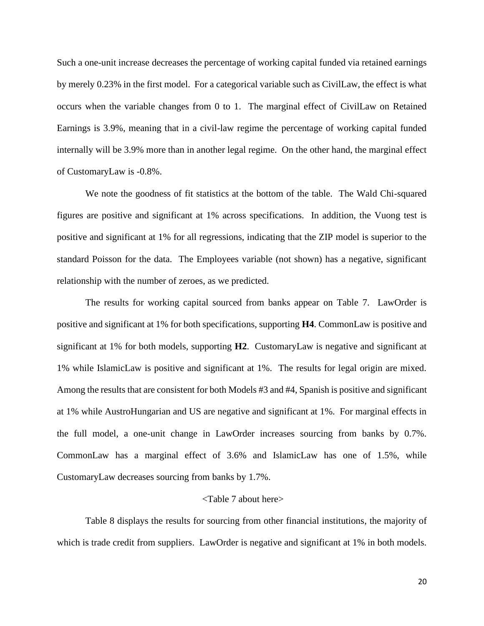Such a one-unit increase decreases the percentage of working capital funded via retained earnings by merely 0.23% in the first model. For a categorical variable such as CivilLaw, the effect is what occurs when the variable changes from 0 to 1. The marginal effect of CivilLaw on Retained Earnings is 3.9%, meaning that in a civil-law regime the percentage of working capital funded internally will be 3.9% more than in another legal regime. On the other hand, the marginal effect of CustomaryLaw is -0.8%.

We note the goodness of fit statistics at the bottom of the table. The Wald Chi-squared figures are positive and significant at 1% across specifications. In addition, the Vuong test is positive and significant at 1% for all regressions, indicating that the ZIP model is superior to the standard Poisson for the data. The Employees variable (not shown) has a negative, significant relationship with the number of zeroes, as we predicted.

The results for working capital sourced from banks appear on Table 7. LawOrder is positive and significant at 1% for both specifications, supporting **H4**. CommonLaw is positive and significant at 1% for both models, supporting **H2**. CustomaryLaw is negative and significant at 1% while IslamicLaw is positive and significant at 1%. The results for legal origin are mixed. Among the results that are consistent for both Models #3 and #4, Spanish is positive and significant at 1% while AustroHungarian and US are negative and significant at 1%. For marginal effects in the full model, a one-unit change in LawOrder increases sourcing from banks by 0.7%. CommonLaw has a marginal effect of 3.6% and IslamicLaw has one of 1.5%, while CustomaryLaw decreases sourcing from banks by 1.7%.

#### <Table 7 about here>

Table 8 displays the results for sourcing from other financial institutions, the majority of which is trade credit from suppliers. LawOrder is negative and significant at 1% in both models.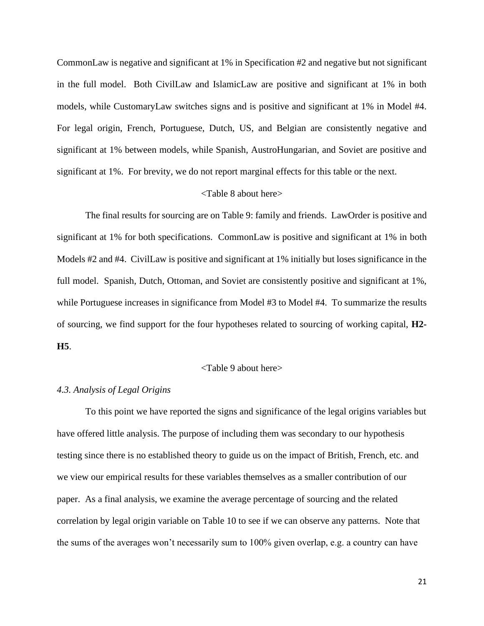CommonLaw is negative and significant at 1% in Specification #2 and negative but not significant in the full model. Both CivilLaw and IslamicLaw are positive and significant at 1% in both models, while CustomaryLaw switches signs and is positive and significant at 1% in Model #4. For legal origin, French, Portuguese, Dutch, US, and Belgian are consistently negative and significant at 1% between models, while Spanish, AustroHungarian, and Soviet are positive and significant at 1%. For brevity, we do not report marginal effects for this table or the next.

# <Table 8 about here>

The final results for sourcing are on Table 9: family and friends. LawOrder is positive and significant at 1% for both specifications. CommonLaw is positive and significant at 1% in both Models #2 and #4. CivilLaw is positive and significant at 1% initially but loses significance in the full model. Spanish, Dutch, Ottoman, and Soviet are consistently positive and significant at 1%, while Portuguese increases in significance from Model #3 to Model #4. To summarize the results of sourcing, we find support for the four hypotheses related to sourcing of working capital, **H2- H5**.

#### <Table 9 about here>

#### *4.3. Analysis of Legal Origins*

To this point we have reported the signs and significance of the legal origins variables but have offered little analysis. The purpose of including them was secondary to our hypothesis testing since there is no established theory to guide us on the impact of British, French, etc. and we view our empirical results for these variables themselves as a smaller contribution of our paper. As a final analysis, we examine the average percentage of sourcing and the related correlation by legal origin variable on Table 10 to see if we can observe any patterns. Note that the sums of the averages won't necessarily sum to 100% given overlap, e.g. a country can have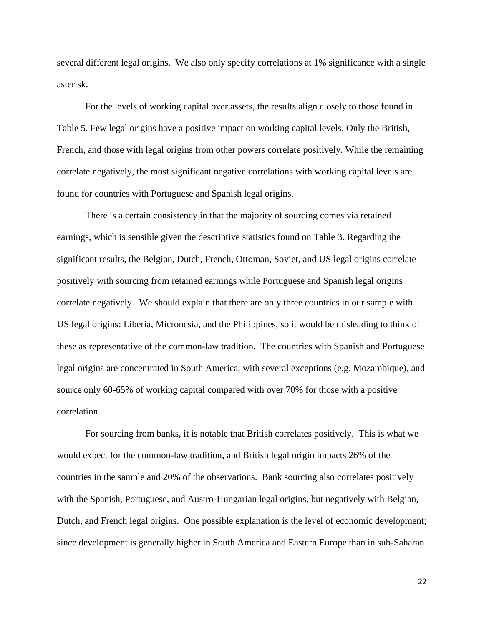several different legal origins. We also only specify correlations at 1% significance with a single asterisk.

For the levels of working capital over assets, the results align closely to those found in Table 5. Few legal origins have a positive impact on working capital levels. Only the British, French, and those with legal origins from other powers correlate positively. While the remaining correlate negatively, the most significant negative correlations with working capital levels are found for countries with Portuguese and Spanish legal origins.

There is a certain consistency in that the majority of sourcing comes via retained earnings, which is sensible given the descriptive statistics found on Table 3. Regarding the significant results, the Belgian, Dutch, French, Ottoman, Soviet, and US legal origins correlate positively with sourcing from retained earnings while Portuguese and Spanish legal origins correlate negatively. We should explain that there are only three countries in our sample with US legal origins: Liberia, Micronesia, and the Philippines, so it would be misleading to think of these as representative of the common-law tradition. The countries with Spanish and Portuguese legal origins are concentrated in South America, with several exceptions (e.g. Mozambique), and source only 60-65% of working capital compared with over 70% for those with a positive correlation.

For sourcing from banks, it is notable that British correlates positively. This is what we would expect for the common-law tradition, and British legal origin impacts 26% of the countries in the sample and 20% of the observations. Bank sourcing also correlates positively with the Spanish, Portuguese, and Austro-Hungarian legal origins, but negatively with Belgian, Dutch, and French legal origins. One possible explanation is the level of economic development; since development is generally higher in South America and Eastern Europe than in sub-Saharan

22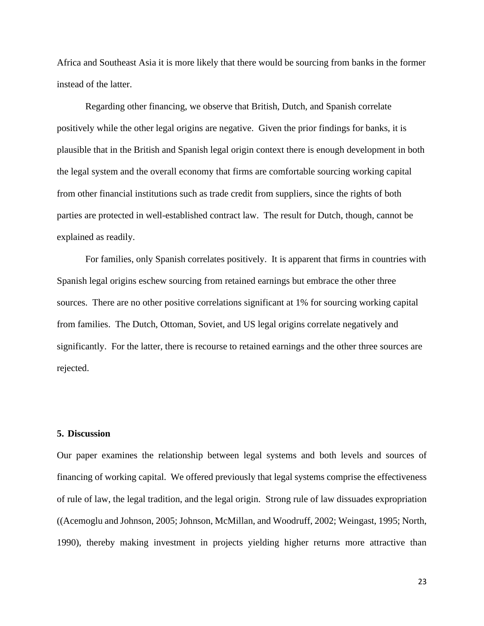Africa and Southeast Asia it is more likely that there would be sourcing from banks in the former instead of the latter.

Regarding other financing, we observe that British, Dutch, and Spanish correlate positively while the other legal origins are negative. Given the prior findings for banks, it is plausible that in the British and Spanish legal origin context there is enough development in both the legal system and the overall economy that firms are comfortable sourcing working capital from other financial institutions such as trade credit from suppliers, since the rights of both parties are protected in well-established contract law. The result for Dutch, though, cannot be explained as readily.

For families, only Spanish correlates positively. It is apparent that firms in countries with Spanish legal origins eschew sourcing from retained earnings but embrace the other three sources. There are no other positive correlations significant at 1% for sourcing working capital from families. The Dutch, Ottoman, Soviet, and US legal origins correlate negatively and significantly. For the latter, there is recourse to retained earnings and the other three sources are rejected.

# **5. Discussion**

Our paper examines the relationship between legal systems and both levels and sources of financing of working capital. We offered previously that legal systems comprise the effectiveness of rule of law, the legal tradition, and the legal origin. Strong rule of law dissuades expropriation ((Acemoglu and Johnson, 2005; Johnson, McMillan, and Woodruff, 2002; Weingast, 1995; North, 1990), thereby making investment in projects yielding higher returns more attractive than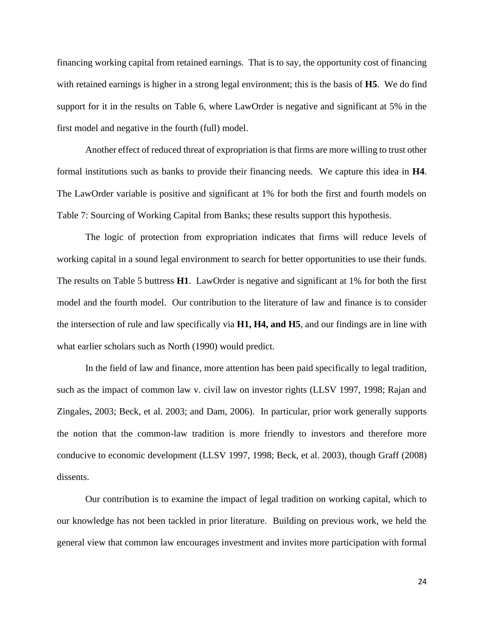financing working capital from retained earnings. That is to say, the opportunity cost of financing with retained earnings is higher in a strong legal environment; this is the basis of **H5**. We do find support for it in the results on Table 6, where LawOrder is negative and significant at 5% in the first model and negative in the fourth (full) model.

Another effect of reduced threat of expropriation is that firms are more willing to trust other formal institutions such as banks to provide their financing needs. We capture this idea in **H4**. The LawOrder variable is positive and significant at 1% for both the first and fourth models on Table 7: Sourcing of Working Capital from Banks; these results support this hypothesis.

The logic of protection from expropriation indicates that firms will reduce levels of working capital in a sound legal environment to search for better opportunities to use their funds. The results on Table 5 buttress **H1**. LawOrder is negative and significant at 1% for both the first model and the fourth model. Our contribution to the literature of law and finance is to consider the intersection of rule and law specifically via **H1, H4, and H5**, and our findings are in line with what earlier scholars such as North (1990) would predict.

In the field of law and finance, more attention has been paid specifically to legal tradition, such as the impact of common law v. civil law on investor rights (LLSV 1997, 1998; Rajan and Zingales, 2003; Beck, et al. 2003; and Dam, 2006). In particular, prior work generally supports the notion that the common-law tradition is more friendly to investors and therefore more conducive to economic development (LLSV 1997, 1998; Beck, et al. 2003), though Graff (2008) dissents.

Our contribution is to examine the impact of legal tradition on working capital, which to our knowledge has not been tackled in prior literature. Building on previous work, we held the general view that common law encourages investment and invites more participation with formal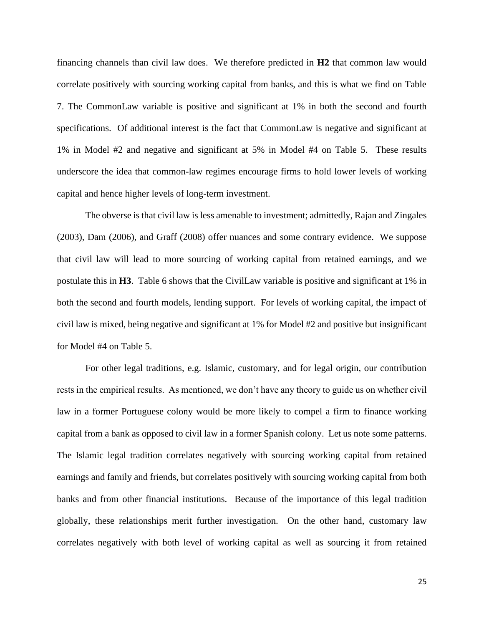financing channels than civil law does. We therefore predicted in **H2** that common law would correlate positively with sourcing working capital from banks, and this is what we find on Table 7. The CommonLaw variable is positive and significant at 1% in both the second and fourth specifications. Of additional interest is the fact that CommonLaw is negative and significant at 1% in Model #2 and negative and significant at 5% in Model #4 on Table 5. These results underscore the idea that common-law regimes encourage firms to hold lower levels of working capital and hence higher levels of long-term investment.

The obverse is that civil law is less amenable to investment; admittedly, Rajan and Zingales (2003), Dam (2006), and Graff (2008) offer nuances and some contrary evidence. We suppose that civil law will lead to more sourcing of working capital from retained earnings, and we postulate this in **H3**. Table 6 shows that the CivilLaw variable is positive and significant at 1% in both the second and fourth models, lending support. For levels of working capital, the impact of civil law is mixed, being negative and significant at 1% for Model #2 and positive but insignificant for Model #4 on Table 5.

For other legal traditions, e.g. Islamic, customary, and for legal origin, our contribution rests in the empirical results. As mentioned, we don't have any theory to guide us on whether civil law in a former Portuguese colony would be more likely to compel a firm to finance working capital from a bank as opposed to civil law in a former Spanish colony. Let us note some patterns. The Islamic legal tradition correlates negatively with sourcing working capital from retained earnings and family and friends, but correlates positively with sourcing working capital from both banks and from other financial institutions. Because of the importance of this legal tradition globally, these relationships merit further investigation. On the other hand, customary law correlates negatively with both level of working capital as well as sourcing it from retained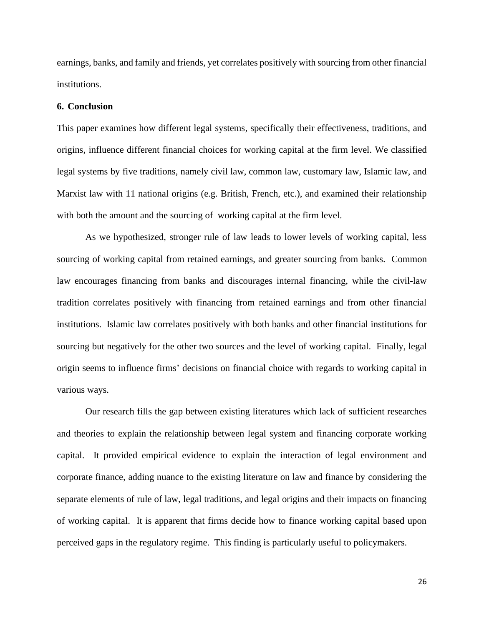earnings, banks, and family and friends, yet correlates positively with sourcing from other financial institutions.

#### **6. Conclusion**

This paper examines how different legal systems, specifically their effectiveness, traditions, and origins, influence different financial choices for working capital at the firm level. We classified legal systems by five traditions, namely civil law, common law, customary law, Islamic law, and Marxist law with 11 national origins (e.g. British, French, etc.), and examined their relationship with both the amount and the sourcing of working capital at the firm level.

As we hypothesized, stronger rule of law leads to lower levels of working capital, less sourcing of working capital from retained earnings, and greater sourcing from banks. Common law encourages financing from banks and discourages internal financing, while the civil-law tradition correlates positively with financing from retained earnings and from other financial institutions. Islamic law correlates positively with both banks and other financial institutions for sourcing but negatively for the other two sources and the level of working capital. Finally, legal origin seems to influence firms' decisions on financial choice with regards to working capital in various ways.

Our research fills the gap between existing literatures which lack of sufficient researches and theories to explain the relationship between legal system and financing corporate working capital. It provided empirical evidence to explain the interaction of legal environment and corporate finance, adding nuance to the existing literature on law and finance by considering the separate elements of rule of law, legal traditions, and legal origins and their impacts on financing of working capital. It is apparent that firms decide how to finance working capital based upon perceived gaps in the regulatory regime. This finding is particularly useful to policymakers.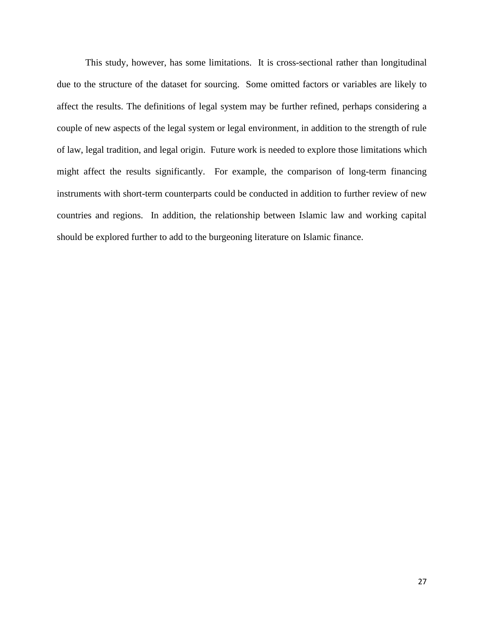This study, however, has some limitations. It is cross-sectional rather than longitudinal due to the structure of the dataset for sourcing. Some omitted factors or variables are likely to affect the results. The definitions of legal system may be further refined, perhaps considering a couple of new aspects of the legal system or legal environment, in addition to the strength of rule of law, legal tradition, and legal origin. Future work is needed to explore those limitations which might affect the results significantly. For example, the comparison of long-term financing instruments with short-term counterparts could be conducted in addition to further review of new countries and regions. In addition, the relationship between Islamic law and working capital should be explored further to add to the burgeoning literature on Islamic finance.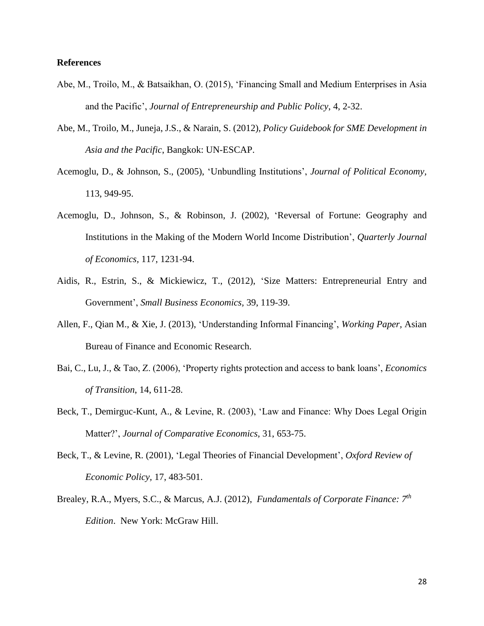# **References**

- Abe, M., Troilo, M., & Batsaikhan, O. (2015), 'Financing Small and Medium Enterprises in Asia and the Pacific', *Journal of Entrepreneurship and Public Policy*, 4, 2-32.
- Abe, M., Troilo, M., Juneja, J.S., & Narain, S. (2012), *Policy Guidebook for SME Development in Asia and the Pacific*, Bangkok: UN-ESCAP.
- Acemoglu, D., & Johnson, S., (2005), 'Unbundling Institutions', *Journal of Political Economy,* 113, 949-95.
- Acemoglu, D., Johnson, S., & Robinson, J. (2002), 'Reversal of Fortune: Geography and Institutions in the Making of the Modern World Income Distribution', *Quarterly Journal of Economics,* 117, 1231-94.
- Aidis, R., Estrin, S., & Mickiewicz, T., (2012), 'Size Matters: Entrepreneurial Entry and Government', *Small Business Economics,* 39, 119-39.
- Allen, F., Qian M., & Xie, J. (2013), 'Understanding Informal Financing', *Working Paper,* Asian Bureau of Finance and Economic Research.
- Bai, C., Lu, J., & Tao, Z. (2006), 'Property rights protection and access to bank loans', *Economics of Transition*, 14, 611-28.
- Beck, T., Demirguc-Kunt, A., & Levine, R. (2003), 'Law and Finance: Why Does Legal Origin Matter?', *Journal of Comparative Economics,* 31, 653-75.
- Beck, T., & Levine, R. (2001), 'Legal Theories of Financial Development', *Oxford Review of Economic Policy,* 17, 483-501.
- Brealey, R.A., Myers, S.C., & Marcus, A.J. (2012), *Fundamentals of Corporate Finance: 7th Edition*. New York: McGraw Hill.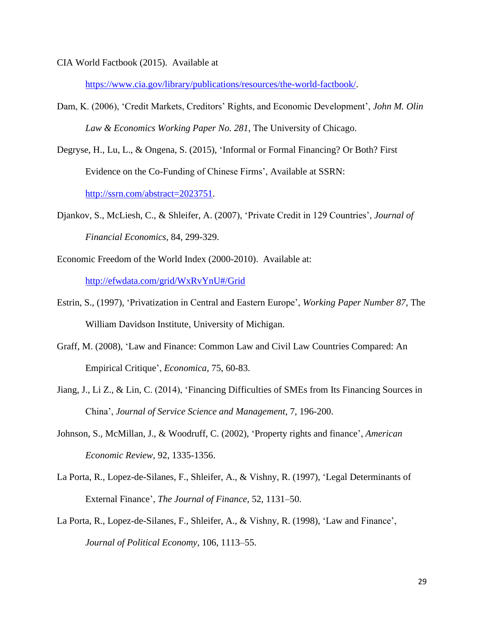CIA World Factbook (2015). Available at

[https://www.cia.gov/library/publications/resources/the-world-factbook/.](https://www.cia.gov/library/publications/resources/the-world-factbook/)

- Dam, K. (2006), 'Credit Markets, Creditors' Rights, and Economic Development', *John M. Olin Law & Economics Working Paper No. 281,* The University of Chicago.
- Degryse, H., Lu, L., & Ongena, S. (2015), 'Informal or Formal Financing? Or Both? First Evidence on the Co-Funding of Chinese Firms', Available at SSRN:

[http://ssrn.com/abstract=2023751.](http://ssrn.com/abstract=2023751)

- Djankov, S., McLiesh, C., & Shleifer, A. (2007), 'Private Credit in 129 Countries', *Journal of Financial Economics,* 84, 299-329.
- Economic Freedom of the World Index (2000-2010). Available at: <http://efwdata.com/grid/WxRvYnU#/Grid>
- Estrin, S., (1997), 'Privatization in Central and Eastern Europe', *Working Paper Number 87*, The William Davidson Institute, University of Michigan.
- Graff, M. (2008), 'Law and Finance: Common Law and Civil Law Countries Compared: An Empirical Critique', *Economica*, 75, 60-83.
- Jiang, J., Li Z., & Lin, C. (2014), 'Financing Difficulties of SMEs from Its Financing Sources in China', *Journal of Service Science and Management*, 7, 196-200.
- Johnson, S., McMillan, J., & Woodruff, C. (2002), 'Property rights and finance', *American Economic Review,* 92, 1335-1356.
- La Porta, R., Lopez-de-Silanes, F., Shleifer, A., & Vishny, R. (1997), 'Legal Determinants of External Finance', *The Journal of Finance,* 52, 1131–50.
- La Porta, R., Lopez-de-Silanes, F., Shleifer, A., & Vishny, R. (1998), 'Law and Finance', *Journal of Political Economy,* 106, 1113–55.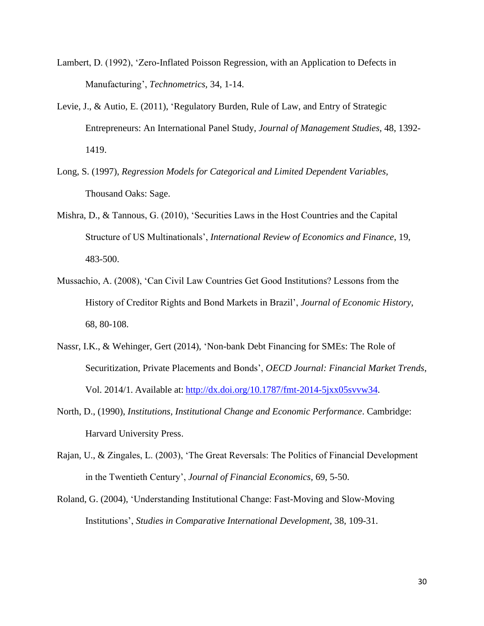- Lambert, D. (1992), 'Zero-Inflated Poisson Regression, with an Application to Defects in Manufacturing', *Technometrics,* 34, 1-14.
- Levie, J., & Autio, E. (2011), 'Regulatory Burden, Rule of Law, and Entry of Strategic Entrepreneurs: An International Panel Study, *Journal of Management Studies,* 48, 1392- 1419.
- Long, S. (1997), *Regression Models for Categorical and Limited Dependent Variables,* Thousand Oaks: Sage.
- Mishra, D., & Tannous, G. (2010), 'Securities Laws in the Host Countries and the Capital Structure of US Multinationals', *International Review of Economics and Finance*, 19, 483-500.
- Mussachio, A. (2008), 'Can Civil Law Countries Get Good Institutions? Lessons from the History of Creditor Rights and Bond Markets in Brazil', *Journal of Economic History*, 68, 80-108.
- Nassr, I.K., & Wehinger, Gert (2014), 'Non-bank Debt Financing for SMEs: The Role of Securitization, Private Placements and Bonds', *OECD Journal: Financial Market Trends*, Vol. 2014/1. Available at: [http://dx.doi.org/10.1787/fmt-2014-5jxx05svvw34.](http://dx.doi.org/10.1787/fmt-2014-5jxx05svvw34)
- North, D., (1990), *Institutions, Institutional Change and Economic Performance*. Cambridge: Harvard University Press.
- Rajan, U., & Zingales, L. (2003), 'The Great Reversals: The Politics of Financial Development in the Twentieth Century', *Journal of Financial Economics,* 69, 5-50.
- Roland, G. (2004), 'Understanding Institutional Change: Fast-Moving and Slow-Moving Institutions', *Studies in Comparative International Development,* 38, 109-31.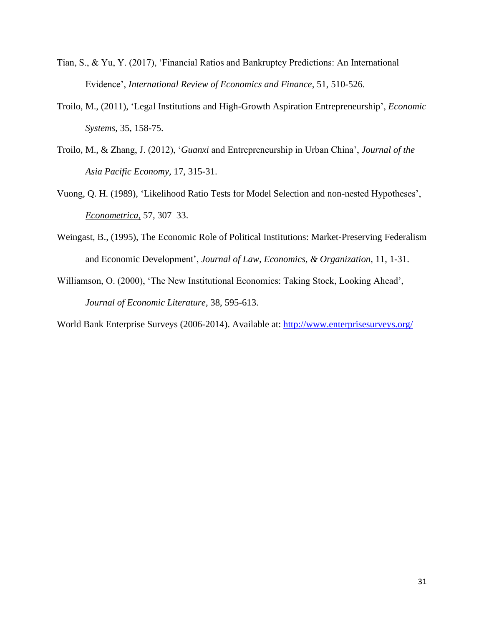- Tian, S., & Yu, Y. (2017), 'Financial Ratios and Bankruptcy Predictions: An International Evidence', *International Review of Economics and Finance*, 51, 510-526.
- Troilo, M., (2011), 'Legal Institutions and High-Growth Aspiration Entrepreneurship', *Economic Systems,* 35, 158-75.
- Troilo, M., & Zhang, J. (2012), '*Guanxi* and Entrepreneurship in Urban China', *Journal of the Asia Pacific Economy,* 17, 315-31.
- Vuong, Q. H. (1989), 'Likelihood Ratio Tests for Model Selection and non-nested Hypotheses', *[Econometrica,](https://en.wikipedia.org/wiki/Econometrica)* 57, 307–33.
- Weingast, B., (1995), The Economic Role of Political Institutions: Market-Preserving Federalism and Economic Development', *Journal of Law, Economics, & Organization,* 11, 1-31.
- Williamson, O. (2000), 'The New Institutional Economics: Taking Stock, Looking Ahead', *Journal of Economic Literature*, 38, 595-613.

World Bank Enterprise Surveys (2006-2014). Available at:<http://www.enterprisesurveys.org/>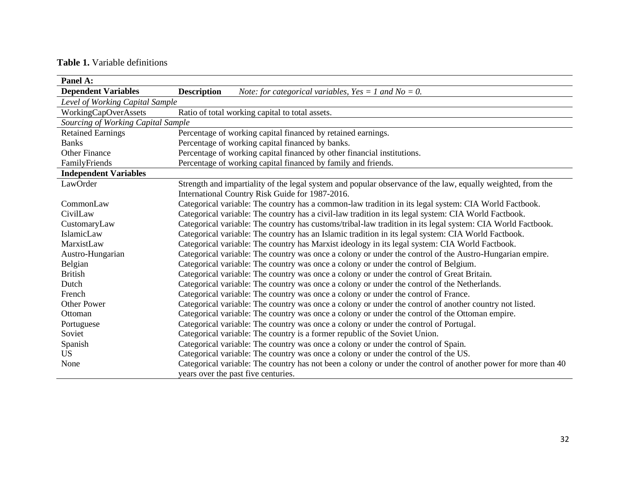# **Table 1.** Variable definitions

| Panel A:                           |                    |                                                                                                                |
|------------------------------------|--------------------|----------------------------------------------------------------------------------------------------------------|
| <b>Dependent Variables</b>         | <b>Description</b> | <i>Note: for categorical variables, Yes = 1 and No = 0.</i>                                                    |
| Level of Working Capital Sample    |                    |                                                                                                                |
| <b>WorkingCapOverAssets</b>        |                    | Ratio of total working capital to total assets.                                                                |
| Sourcing of Working Capital Sample |                    |                                                                                                                |
| <b>Retained Earnings</b>           |                    | Percentage of working capital financed by retained earnings.                                                   |
| <b>Banks</b>                       |                    | Percentage of working capital financed by banks.                                                               |
| <b>Other Finance</b>               |                    | Percentage of working capital financed by other financial institutions.                                        |
| FamilyFriends                      |                    | Percentage of working capital financed by family and friends.                                                  |
| <b>Independent Variables</b>       |                    |                                                                                                                |
| LawOrder                           |                    | Strength and impartiality of the legal system and popular observance of the law, equally weighted, from the    |
|                                    |                    | International Country Risk Guide for 1987-2016.                                                                |
| CommonLaw                          |                    | Categorical variable: The country has a common-law tradition in its legal system: CIA World Factbook.          |
| CivilLaw                           |                    | Categorical variable: The country has a civil-law tradition in its legal system: CIA World Factbook.           |
| CustomaryLaw                       |                    | Categorical variable: The country has customs/tribal-law tradition in its legal system: CIA World Factbook.    |
| IslamicLaw                         |                    | Categorical variable: The country has an Islamic tradition in its legal system: CIA World Factbook.            |
| MarxistLaw                         |                    | Categorical variable: The country has Marxist ideology in its legal system: CIA World Factbook.                |
| Austro-Hungarian                   |                    | Categorical variable: The country was once a colony or under the control of the Austro-Hungarian empire.       |
| Belgian                            |                    | Categorical variable: The country was once a colony or under the control of Belgium.                           |
| <b>British</b>                     |                    | Categorical variable: The country was once a colony or under the control of Great Britain.                     |
| Dutch                              |                    | Categorical variable: The country was once a colony or under the control of the Netherlands.                   |
| French                             |                    | Categorical variable: The country was once a colony or under the control of France.                            |
| <b>Other Power</b>                 |                    | Categorical variable: The country was once a colony or under the control of another country not listed.        |
| Ottoman                            |                    | Categorical variable: The country was once a colony or under the control of the Ottoman empire.                |
| Portuguese                         |                    | Categorical variable: The country was once a colony or under the control of Portugal.                          |
| Soviet                             |                    | Categorical variable: The country is a former republic of the Soviet Union.                                    |
| Spanish                            |                    | Categorical variable: The country was once a colony or under the control of Spain.                             |
| <b>US</b>                          |                    | Categorical variable: The country was once a colony or under the control of the US.                            |
| None                               |                    | Categorical variable: The country has not been a colony or under the control of another power for more than 40 |
|                                    |                    | years over the past five centuries.                                                                            |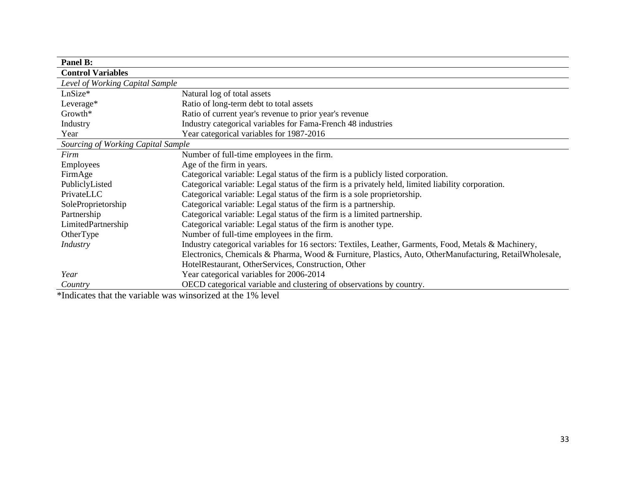| <b>Panel B:</b>                     |                                                                                                                        |
|-------------------------------------|------------------------------------------------------------------------------------------------------------------------|
| <b>Control Variables</b>            |                                                                                                                        |
| Level of Working Capital Sample     |                                                                                                                        |
| LnSize*                             | Natural log of total assets                                                                                            |
| Leverage*                           | Ratio of long-term debt to total assets                                                                                |
| $Growth*$                           | Ratio of current year's revenue to prior year's revenue                                                                |
| Industry                            | Industry categorical variables for Fama-French 48 industries                                                           |
| Year                                | Year categorical variables for 1987-2016                                                                               |
| Sourcing of Working Capital Sample  |                                                                                                                        |
| Firm                                | Number of full-time employees in the firm.                                                                             |
| <b>Employees</b>                    | Age of the firm in years.                                                                                              |
| FirmAge                             | Categorical variable: Legal status of the firm is a publicly listed corporation.                                       |
| PubliclyListed                      | Categorical variable: Legal status of the firm is a privately held, limited liability corporation.                     |
| PrivateLLC                          | Categorical variable: Legal status of the firm is a sole proprietorship.                                               |
| SoleProprietorship                  | Categorical variable: Legal status of the firm is a partnership.                                                       |
| Partnership                         | Categorical variable: Legal status of the firm is a limited partnership.                                               |
| LimitedPartnership                  | Categorical variable: Legal status of the firm is another type.                                                        |
| <b>OtherType</b>                    | Number of full-time employees in the firm.                                                                             |
| Industry                            | Industry categorical variables for 16 sectors: Textiles, Leather, Garments, Food, Metals & Machinery,                  |
|                                     | Electronics, Chemicals & Pharma, Wood & Furniture, Plastics, Auto, OtherManufacturing, RetailWholesale,                |
|                                     | HotelRestaurant, OtherServices, Construction, Other                                                                    |
| Year                                | Year categorical variables for 2006-2014                                                                               |
| Country<br>$\cdots$<br>$\mathbf{r}$ | OECD categorical variable and clustering of observations by country.<br>$\mathbf{A}$ and $\mathbf{A}$ and $\mathbf{A}$ |

\*Indicates that the variable was winsorized at the 1% level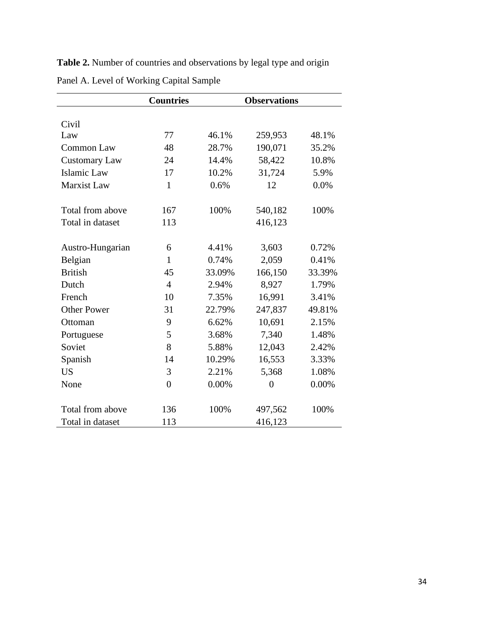**Table 2.** Number of countries and observations by legal type and origin

Panel A. Level of Working Capital Sample

|                      | <b>Countries</b> |        | <b>Observations</b> |        |
|----------------------|------------------|--------|---------------------|--------|
|                      |                  |        |                     |        |
| Civil                |                  |        |                     |        |
| Law                  | 77               | 46.1%  | 259,953             | 48.1%  |
| <b>Common Law</b>    | 48               | 28.7%  | 190,071             | 35.2%  |
| <b>Customary Law</b> | 24               | 14.4%  | 58,422              | 10.8%  |
| <b>Islamic Law</b>   | 17               | 10.2%  | 31,724              | 5.9%   |
| <b>Marxist Law</b>   | $\mathbf{1}$     | 0.6%   | 12                  | 0.0%   |
| Total from above     | 167              | 100%   | 540,182             | 100%   |
| Total in dataset     | 113              |        | 416,123             |        |
|                      |                  |        |                     |        |
| Austro-Hungarian     | 6                | 4.41%  | 3,603               | 0.72%  |
| Belgian              | $\mathbf{1}$     | 0.74%  | 2,059               | 0.41%  |
| <b>British</b>       | 45               | 33.09% | 166,150             | 33.39% |
| Dutch                | $\overline{4}$   | 2.94%  | 8,927               | 1.79%  |
| French               | 10               | 7.35%  | 16,991              | 3.41%  |
| <b>Other Power</b>   | 31               | 22.79% | 247,837             | 49.81% |
| Ottoman              | 9                | 6.62%  | 10,691              | 2.15%  |
| Portuguese           | 5                | 3.68%  | 7,340               | 1.48%  |
| Soviet               | 8                | 5.88%  | 12,043              | 2.42%  |
| Spanish              | 14               | 10.29% | 16,553              | 3.33%  |
| <b>US</b>            | 3                | 2.21%  | 5,368               | 1.08%  |
| None                 | $\overline{0}$   | 0.00%  | $\boldsymbol{0}$    | 0.00%  |
| Total from above     | 136              | 100%   | 497,562             | 100%   |
| Total in dataset     | 113              |        | 416,123             |        |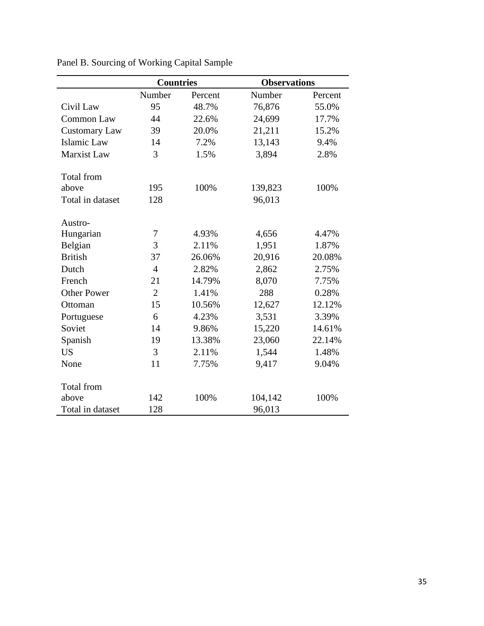|                      | <b>Countries</b> |         | <b>Observations</b> |         |  |
|----------------------|------------------|---------|---------------------|---------|--|
|                      | Number           | Percent | Number              | Percent |  |
| Civil Law            | 95               | 48.7%   | 76,876              | 55.0%   |  |
| <b>Common Law</b>    | 44               | 22.6%   | 24,699              | 17.7%   |  |
| <b>Customary Law</b> | 39               | 20.0%   | 21,211              | 15.2%   |  |
| <b>Islamic Law</b>   | 14               | 7.2%    | 13,143              | 9.4%    |  |
| <b>Marxist Law</b>   | 3                | 1.5%    | 3,894               | 2.8%    |  |
| <b>Total from</b>    |                  |         |                     |         |  |
| above                | 195              | 100%    | 139,823             | 100%    |  |
| Total in dataset     | 128              |         | 96,013              |         |  |
| Austro-              |                  |         |                     |         |  |
| Hungarian            | 7                | 4.93%   | 4,656               | 4.47%   |  |
| Belgian              | 3                | 2.11%   | 1,951               | 1.87%   |  |
| <b>British</b>       | 37               | 26.06%  | 20,916              | 20.08%  |  |
| Dutch                | $\overline{4}$   | 2.82%   | 2,862               | 2.75%   |  |
| French               | 21               | 14.79%  | 8,070               | 7.75%   |  |
| <b>Other Power</b>   | $\overline{2}$   | 1.41%   | 288                 | 0.28%   |  |
| Ottoman              | 15               | 10.56%  | 12,627              | 12.12%  |  |
| Portuguese           | 6                | 4.23%   | 3,531               | 3.39%   |  |
| Soviet               | 14               | 9.86%   | 15,220              | 14.61%  |  |
| Spanish              | 19               | 13.38%  | 23,060              | 22.14%  |  |
| <b>US</b>            | 3                | 2.11%   | 1,544               | 1.48%   |  |
| None                 | 11               | 7.75%   | 9,417               | 9.04%   |  |
| Total from           |                  |         |                     |         |  |
| above                | 142              | 100%    | 104,142             | 100%    |  |
| Total in dataset     | 128              |         | 96,013              |         |  |

Panel B. Sourcing of Working Capital Sample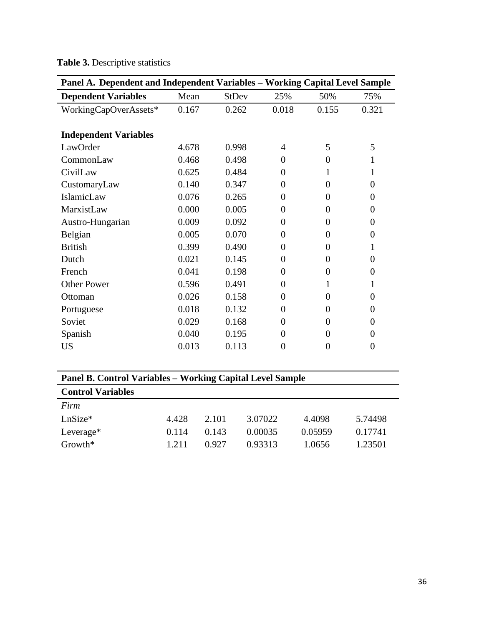| Panel A. Dependent and Independent Variables - Working Capital Level Sample |       |              |                  |                |                |
|-----------------------------------------------------------------------------|-------|--------------|------------------|----------------|----------------|
| <b>Dependent Variables</b>                                                  | Mean  | <b>StDev</b> | 25%              | 50%            | 75%            |
| WorkingCapOverAssets*                                                       | 0.167 | 0.262        | 0.018            | 0.155          | 0.321          |
| <b>Independent Variables</b>                                                |       |              |                  |                |                |
| LawOrder                                                                    | 4.678 | 0.998        | $\overline{4}$   | 5              | 5              |
| CommonLaw                                                                   | 0.468 | 0.498        | $\boldsymbol{0}$ | $\overline{0}$ | 1              |
| CivilLaw                                                                    | 0.625 | 0.484        | $\overline{0}$   |                |                |
| CustomaryLaw                                                                | 0.140 | 0.347        | $\boldsymbol{0}$ | 0              | $\Omega$       |
| IslamicLaw                                                                  | 0.076 | 0.265        | $\boldsymbol{0}$ | $\overline{0}$ | 0              |
| MarxistLaw                                                                  | 0.000 | 0.005        | $\overline{0}$   | 0              | 0              |
| Austro-Hungarian                                                            | 0.009 | 0.092        | $\overline{0}$   | 0              | 0              |
| Belgian                                                                     | 0.005 | 0.070        | $\boldsymbol{0}$ | 0              | 0              |
| <b>British</b>                                                              | 0.399 | 0.490        | $\overline{0}$   | $\theta$       | 1              |
| Dutch                                                                       | 0.021 | 0.145        | $\overline{0}$   | $\overline{0}$ | $\overline{0}$ |
| French                                                                      | 0.041 | 0.198        | $\boldsymbol{0}$ | $\overline{0}$ | 0              |
| <b>Other Power</b>                                                          | 0.596 | 0.491        | $\boldsymbol{0}$ |                | 1              |
| Ottoman                                                                     | 0.026 | 0.158        | $\boldsymbol{0}$ | $\theta$       | $\theta$       |
| Portuguese                                                                  | 0.018 | 0.132        | $\boldsymbol{0}$ | $\overline{0}$ | 0              |
| Soviet                                                                      | 0.029 | 0.168        | $\boldsymbol{0}$ | 0              | 0              |
| Spanish                                                                     | 0.040 | 0.195        | $\overline{0}$   | 0              | $\Omega$       |
| <b>US</b>                                                                   | 0.013 | 0.113        | $\overline{0}$   | $\overline{0}$ | $\overline{0}$ |

**Table 3.** Descriptive statistics

| Panel B. Control Variables – Working Capital Level Sample |       |       |         |         |         |  |  |  |  |  |  |  |
|-----------------------------------------------------------|-------|-------|---------|---------|---------|--|--|--|--|--|--|--|
| <b>Control Variables</b>                                  |       |       |         |         |         |  |  |  |  |  |  |  |
| Firm                                                      |       |       |         |         |         |  |  |  |  |  |  |  |
| $LnSize*$                                                 | 4.428 | 2.101 | 3.07022 | 4.4098  | 5.74498 |  |  |  |  |  |  |  |
| Leverage*                                                 | 0.114 | 0.143 | 0.00035 | 0.05959 | 0.17741 |  |  |  |  |  |  |  |
| $Growth*$                                                 | 1.211 | 0.927 | 0.93313 | 1.0656  | 1.23501 |  |  |  |  |  |  |  |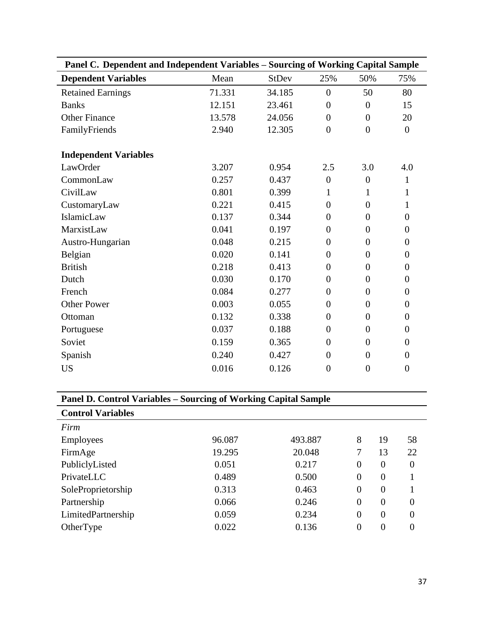| Panel C. Dependent and Independent Variables - Sourcing of Working Capital Sample |        |              |                |                  |                |  |  |  |  |  |
|-----------------------------------------------------------------------------------|--------|--------------|----------------|------------------|----------------|--|--|--|--|--|
| <b>Dependent Variables</b>                                                        | Mean   | <b>StDev</b> | 25%            | 50%              | 75%            |  |  |  |  |  |
| <b>Retained Earnings</b>                                                          | 71.331 | 34.185       | $\Omega$       | 50               | 80             |  |  |  |  |  |
| <b>Banks</b>                                                                      | 12.151 | 23.461       | $\overline{0}$ | $\overline{0}$   | 15             |  |  |  |  |  |
| <b>Other Finance</b>                                                              | 13.578 | 24.056       | $\overline{0}$ | $\overline{0}$   | 20             |  |  |  |  |  |
| FamilyFriends                                                                     | 2.940  | 12.305       | $\overline{0}$ | $\overline{0}$   | $\overline{0}$ |  |  |  |  |  |
| <b>Independent Variables</b>                                                      |        |              |                |                  |                |  |  |  |  |  |
| LawOrder                                                                          | 3.207  | 0.954        | 2.5            | 3.0              | 4.0            |  |  |  |  |  |
| CommonLaw                                                                         | 0.257  | 0.437        | $\overline{0}$ | $\mathbf{0}$     | $\mathbf{1}$   |  |  |  |  |  |
| CivilLaw                                                                          | 0.801  | 0.399        | 1              | 1                | 1              |  |  |  |  |  |
| CustomaryLaw                                                                      | 0.221  | 0.415        | $\overline{0}$ | $\overline{0}$   | $\mathbf{1}$   |  |  |  |  |  |
| IslamicLaw                                                                        | 0.137  | 0.344        | $\Omega$       | $\overline{0}$   | $\overline{0}$ |  |  |  |  |  |
| MarxistLaw                                                                        | 0.041  | 0.197        | $\overline{0}$ | $\overline{0}$   | $\theta$       |  |  |  |  |  |
| Austro-Hungarian                                                                  | 0.048  | 0.215        | $\Omega$       | $\theta$         | $\overline{0}$ |  |  |  |  |  |
| Belgian                                                                           | 0.020  | 0.141        | $\overline{0}$ | $\overline{0}$   | $\theta$       |  |  |  |  |  |
| <b>British</b>                                                                    | 0.218  | 0.413        | $\overline{0}$ | $\overline{0}$   | $\overline{0}$ |  |  |  |  |  |
| Dutch                                                                             | 0.030  | 0.170        | $\overline{0}$ | $\overline{0}$   | $\overline{0}$ |  |  |  |  |  |
| French                                                                            | 0.084  | 0.277        | $\overline{0}$ | $\overline{0}$   | $\theta$       |  |  |  |  |  |
| <b>Other Power</b>                                                                | 0.003  | 0.055        | $\overline{0}$ | $\boldsymbol{0}$ | $\overline{0}$ |  |  |  |  |  |
| Ottoman                                                                           | 0.132  | 0.338        | $\overline{0}$ | $\overline{0}$   | $\overline{0}$ |  |  |  |  |  |
| Portuguese                                                                        | 0.037  | 0.188        | $\overline{0}$ | $\overline{0}$   | $\overline{0}$ |  |  |  |  |  |
| Soviet                                                                            | 0.159  | 0.365        | $\overline{0}$ | $\overline{0}$   | $\overline{0}$ |  |  |  |  |  |
| Spanish                                                                           | 0.240  | 0.427        | $\overline{0}$ | $\boldsymbol{0}$ | $\theta$       |  |  |  |  |  |
| <b>US</b>                                                                         | 0.016  | 0.126        | $\overline{0}$ | $\overline{0}$   | $\overline{0}$ |  |  |  |  |  |

| <b>Control Variables</b> |        |         |                |                |                |
|--------------------------|--------|---------|----------------|----------------|----------------|
| Firm                     |        |         |                |                |                |
| <b>Employees</b>         | 96.087 | 493.887 | 8              | 19             | 58             |
| FirmAge                  | 19.295 | 20.048  |                | 13             | 22             |
| PubliclyListed           | 0.051  | 0.217   | 0              | $\overline{0}$ | $\theta$       |
| PrivateLLC               | 0.489  | 0.500   | 0              | $\overline{0}$ |                |
| SoleProprietorship       | 0.313  | 0.463   | 0              | $\overline{0}$ |                |
| Partnership              | 0.066  | 0.246   | 0              | $\theta$       | $\theta$       |
| LimitedPartnership       | 0.059  | 0.234   | $\overline{0}$ | $\overline{0}$ | $\overline{0}$ |
| OtherType                | 0.022  | 0.136   | 0              | $\overline{0}$ | $\theta$       |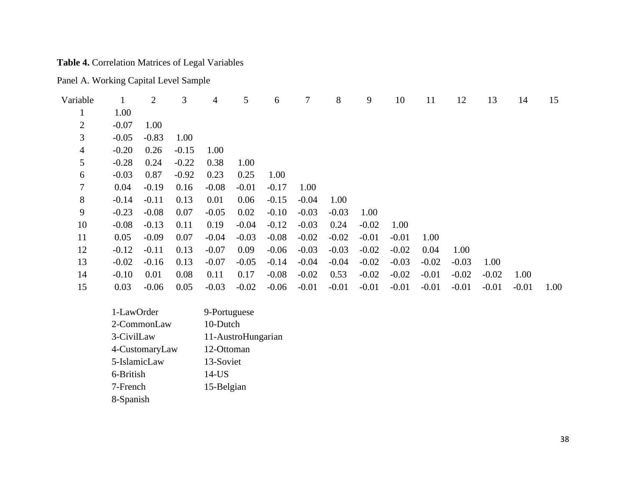# **Table 4.** Correlation Matrices of Legal Variables

Panel A. Working Capital Level Sample

| Variable       |         | 2       | 3       | 4       | 5       | 6       | 7       | 8       | 9       | 10      | 11      | 12      | 13      | 14      | 15   |
|----------------|---------|---------|---------|---------|---------|---------|---------|---------|---------|---------|---------|---------|---------|---------|------|
| $\mathbf{I}$   | 1.00    |         |         |         |         |         |         |         |         |         |         |         |         |         |      |
| 2              | $-0.07$ | 1.00    |         |         |         |         |         |         |         |         |         |         |         |         |      |
| 3              | $-0.05$ | $-0.83$ | 1.00    |         |         |         |         |         |         |         |         |         |         |         |      |
| $\overline{4}$ | $-0.20$ | 0.26    | $-0.15$ | 1.00    |         |         |         |         |         |         |         |         |         |         |      |
| 5              | $-0.28$ | 0.24    | $-0.22$ | 0.38    | 1.00    |         |         |         |         |         |         |         |         |         |      |
| 6              | $-0.03$ | 0.87    | $-0.92$ | 0.23    | 0.25    | 1.00    |         |         |         |         |         |         |         |         |      |
| $\tau$         | 0.04    | $-0.19$ | 0.16    | $-0.08$ | $-0.01$ | $-0.17$ | 1.00    |         |         |         |         |         |         |         |      |
| 8              | $-0.14$ | $-0.11$ | 0.13    | 0.01    | 0.06    | $-0.15$ | $-0.04$ | 1.00    |         |         |         |         |         |         |      |
| 9              | $-0.23$ | $-0.08$ | 0.07    | $-0.05$ | 0.02    | $-0.10$ | $-0.03$ | $-0.03$ | 1.00    |         |         |         |         |         |      |
| 10             | $-0.08$ | $-0.13$ | 0.11    | 0.19    | $-0.04$ | $-0.12$ | $-0.03$ | 0.24    | $-0.02$ | 1.00    |         |         |         |         |      |
| 11             | 0.05    | $-0.09$ | 0.07    | $-0.04$ | $-0.03$ | $-0.08$ | $-0.02$ | $-0.02$ | $-0.01$ | $-0.01$ | 1.00    |         |         |         |      |
| 12             | $-0.12$ | $-0.11$ | 0.13    | $-0.07$ | 0.09    | $-0.06$ | $-0.03$ | $-0.03$ | $-0.02$ | $-0.02$ | 0.04    | 1.00    |         |         |      |
| 13             | $-0.02$ | $-0.16$ | 0.13    | $-0.07$ | $-0.05$ | $-0.14$ | $-0.04$ | $-0.04$ | $-0.02$ | $-0.03$ | $-0.02$ | $-0.03$ | 1.00    |         |      |
| 14             | $-0.10$ | 0.01    | 0.08    | 0.11    | 0.17    | $-0.08$ | $-0.02$ | 0.53    | $-0.02$ | $-0.02$ | $-0.01$ | $-0.02$ | $-0.02$ | 1.00    |      |
| 15             | 0.03    | $-0.06$ | 0.05    | $-0.03$ | $-0.02$ | $-0.06$ | $-0.01$ | $-0.01$ | $-0.01$ | $-0.01$ | $-0.01$ | $-0.01$ | $-0.01$ | $-0.01$ | 1.00 |

| 1-LawOrder     | 9-Portuguese       |
|----------------|--------------------|
| 2-CommonLaw    | 10-Dutch           |
| 3-CivilLaw     | 11-AustroHungarian |
| 4-CustomaryLaw | 12-Ottoman         |
| 5-IslamicLaw   | 13-Soviet          |
| 6-British      | $14$ -US           |
| 7-French       | 15-Belgian         |
| 8-Spanish      |                    |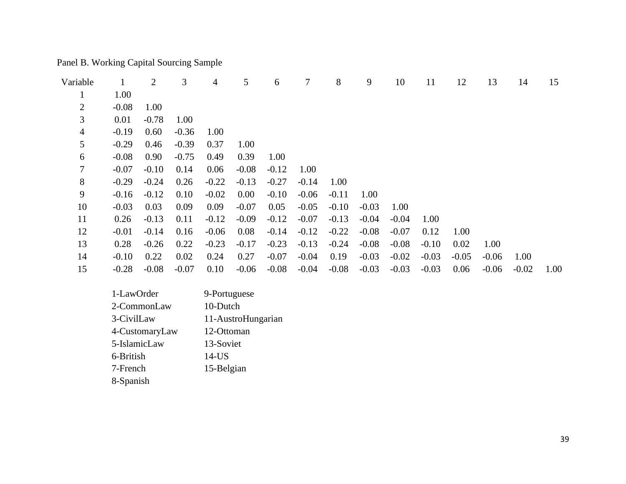Panel B. Working Capital Sourcing Sample

| Variable       |         | 2       | 3       | 4       | 5       | 6       | 7       | 8       | 9       | 10      | 11      | 12      | 13      | 14      | 15   |
|----------------|---------|---------|---------|---------|---------|---------|---------|---------|---------|---------|---------|---------|---------|---------|------|
| $\mathbf{I}$   | 1.00    |         |         |         |         |         |         |         |         |         |         |         |         |         |      |
| $\overline{2}$ | $-0.08$ | 1.00    |         |         |         |         |         |         |         |         |         |         |         |         |      |
| 3              | 0.01    | $-0.78$ | 1.00    |         |         |         |         |         |         |         |         |         |         |         |      |
| $\overline{4}$ | $-0.19$ | 0.60    | $-0.36$ | 1.00    |         |         |         |         |         |         |         |         |         |         |      |
| 5              | $-0.29$ | 0.46    | $-0.39$ | 0.37    | 1.00    |         |         |         |         |         |         |         |         |         |      |
| 6              | $-0.08$ | 0.90    | $-0.75$ | 0.49    | 0.39    | 1.00    |         |         |         |         |         |         |         |         |      |
| $\tau$         | $-0.07$ | $-0.10$ | 0.14    | 0.06    | $-0.08$ | $-0.12$ | 1.00    |         |         |         |         |         |         |         |      |
| 8              | $-0.29$ | $-0.24$ | 0.26    | $-0.22$ | $-0.13$ | $-0.27$ | $-0.14$ | 1.00    |         |         |         |         |         |         |      |
| 9              | $-0.16$ | $-0.12$ | 0.10    | $-0.02$ | 0.00    | $-0.10$ | $-0.06$ | $-0.11$ | 1.00    |         |         |         |         |         |      |
| 10             | $-0.03$ | 0.03    | 0.09    | 0.09    | $-0.07$ | 0.05    | $-0.05$ | $-0.10$ | $-0.03$ | 1.00    |         |         |         |         |      |
| 11             | 0.26    | $-0.13$ | 0.11    | $-0.12$ | $-0.09$ | $-0.12$ | $-0.07$ | $-0.13$ | $-0.04$ | $-0.04$ | 1.00    |         |         |         |      |
| 12             | $-0.01$ | $-0.14$ | 0.16    | $-0.06$ | 0.08    | $-0.14$ | $-0.12$ | $-0.22$ | $-0.08$ | $-0.07$ | 0.12    | 1.00    |         |         |      |
| 13             | 0.28    | $-0.26$ | 0.22    | $-0.23$ | $-0.17$ | $-0.23$ | $-0.13$ | $-0.24$ | $-0.08$ | $-0.08$ | $-0.10$ | 0.02    | 1.00    |         |      |
| 14             | $-0.10$ | 0.22    | 0.02    | 0.24    | 0.27    | $-0.07$ | $-0.04$ | 0.19    | $-0.03$ | $-0.02$ | $-0.03$ | $-0.05$ | $-0.06$ | 1.00    |      |
| 15             | $-0.28$ | $-0.08$ | $-0.07$ | 0.10    | $-0.06$ | $-0.08$ | $-0.04$ | $-0.08$ | $-0.03$ | $-0.03$ | $-0.03$ | 0.06    | $-0.06$ | $-0.02$ | 1.00 |

| 1-LawOrder     | 9-Portuguese       |
|----------------|--------------------|
| 2-CommonLaw    | 10-Dutch           |
| 3-CivilLaw     | 11-AustroHungarian |
| 4-CustomaryLaw | 12-Ottoman         |
| 5-IslamicLaw   | 13-Soviet          |
| 6-British      | $14$ -US           |
| 7-French       | 15-Belgian         |
| 8-Spanish      |                    |
|                |                    |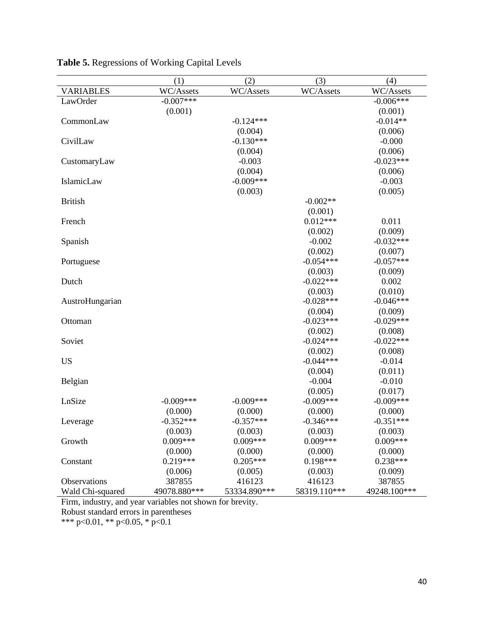|                  | (1)          | (2)          | (3)          | (4)          |
|------------------|--------------|--------------|--------------|--------------|
| <b>VARIABLES</b> | WC/Assets    | WC/Assets    | WC/Assets    | WC/Assets    |
| LawOrder         | $-0.007***$  |              |              | $-0.006***$  |
|                  | (0.001)      |              |              | (0.001)      |
| CommonLaw        |              | $-0.124***$  |              | $-0.014**$   |
|                  |              | (0.004)      |              | (0.006)      |
| CivilLaw         |              | $-0.130***$  |              | $-0.000$     |
|                  |              | (0.004)      |              | (0.006)      |
| CustomaryLaw     |              | $-0.003$     |              | $-0.023***$  |
|                  |              | (0.004)      |              | (0.006)      |
| IslamicLaw       |              | $-0.009***$  |              | $-0.003$     |
|                  |              | (0.003)      |              | (0.005)      |
| <b>British</b>   |              |              | $-0.002**$   |              |
|                  |              |              | (0.001)      |              |
| French           |              |              | $0.012***$   | 0.011        |
|                  |              |              | (0.002)      | (0.009)      |
| Spanish          |              |              | $-0.002$     | $-0.032***$  |
|                  |              |              | (0.002)      | (0.007)      |
| Portuguese       |              |              | $-0.054***$  | $-0.057***$  |
|                  |              |              | (0.003)      | (0.009)      |
| Dutch            |              |              | $-0.022***$  | 0.002        |
|                  |              |              | (0.003)      | (0.010)      |
| AustroHungarian  |              |              | $-0.028***$  | $-0.046***$  |
|                  |              |              | (0.004)      | (0.009)      |
| Ottoman          |              |              | $-0.023***$  | $-0.029***$  |
|                  |              |              | (0.002)      | (0.008)      |
| Soviet           |              |              | $-0.024***$  | $-0.022***$  |
|                  |              |              | (0.002)      | (0.008)      |
| <b>US</b>        |              |              | $-0.044***$  | $-0.014$     |
|                  |              |              | (0.004)      | (0.011)      |
| Belgian          |              |              | $-0.004$     | $-0.010$     |
|                  |              |              | (0.005)      | (0.017)      |
| LnSize           | $-0.009***$  | $-0.009***$  | $-0.009***$  | $-0.009***$  |
|                  | (0.000)      | (0.000)      | (0.000)      | (0.000)      |
| Leverage         | $-0.352***$  | $-0.357***$  | $-0.346***$  | $-0.351***$  |
|                  | (0.003)      | (0.003)      | (0.003)      | (0.003)      |
| Growth           | $0.009***$   | $0.009***$   | $0.009***$   | $0.009***$   |
|                  | (0.000)      | (0.000)      | (0.000)      | (0.000)      |
| Constant         | $0.219***$   | $0.205***$   | $0.198***$   | $0.238***$   |
|                  | (0.006)      | (0.005)      | (0.003)      | (0.009)      |
| Observations     | 387855       | 416123       | 416123       | 387855       |
| Wald Chi-squared | 49078.880*** | 53334.890*** | 58319.110*** | 49248.100*** |

**Table 5.** Regressions of Working Capital Levels

Robust standard errors in parentheses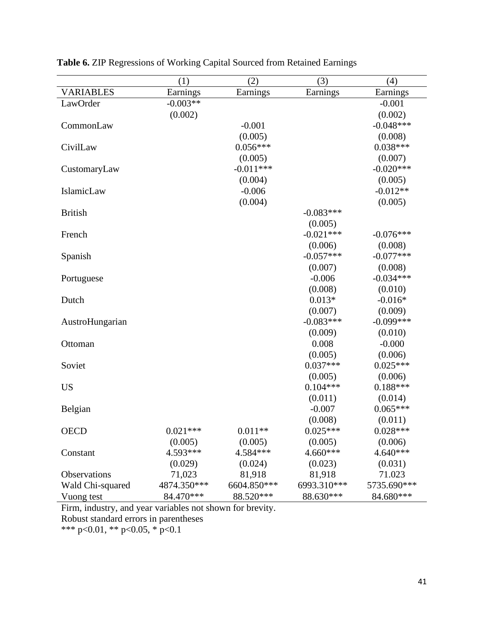|                  | (1)         | (2)         | (3)         | (4)         |
|------------------|-------------|-------------|-------------|-------------|
| <b>VARIABLES</b> | Earnings    | Earnings    | Earnings    | Earnings    |
| LawOrder         | $-0.003**$  |             |             | $-0.001$    |
|                  | (0.002)     |             |             | (0.002)     |
| CommonLaw        |             | $-0.001$    |             | $-0.048***$ |
|                  |             | (0.005)     |             | (0.008)     |
| CivilLaw         |             | $0.056***$  |             | $0.038***$  |
|                  |             | (0.005)     |             | (0.007)     |
| CustomaryLaw     |             | $-0.011***$ |             | $-0.020***$ |
|                  |             | (0.004)     |             | (0.005)     |
| IslamicLaw       |             | $-0.006$    |             | $-0.012**$  |
|                  |             | (0.004)     |             | (0.005)     |
| <b>British</b>   |             |             | $-0.083***$ |             |
|                  |             |             | (0.005)     |             |
| French           |             |             | $-0.021***$ | $-0.076***$ |
|                  |             |             | (0.006)     | (0.008)     |
| Spanish          |             |             | $-0.057***$ | $-0.077***$ |
|                  |             |             | (0.007)     | (0.008)     |
| Portuguese       |             |             | $-0.006$    | $-0.034***$ |
|                  |             |             | (0.008)     | (0.010)     |
| Dutch            |             |             | $0.013*$    | $-0.016*$   |
|                  |             |             | (0.007)     | (0.009)     |
| AustroHungarian  |             |             | $-0.083***$ | $-0.099***$ |
|                  |             |             | (0.009)     | (0.010)     |
| Ottoman          |             |             | 0.008       | $-0.000$    |
|                  |             |             | (0.005)     | (0.006)     |
| Soviet           |             |             | $0.037***$  | $0.025***$  |
|                  |             |             | (0.005)     | (0.006)     |
| <b>US</b>        |             |             | $0.104***$  | $0.188***$  |
|                  |             |             | (0.011)     | (0.014)     |
| Belgian          |             |             | $-0.007$    | $0.065***$  |
|                  |             |             | (0.008)     | (0.011)     |
| <b>OECD</b>      | $0.021***$  | $0.011**$   | $0.025***$  | $0.028***$  |
|                  | (0.005)     | (0.005)     | (0.005)     | (0.006)     |
| Constant         | 4.593***    | 4.584***    | 4.660***    | 4.640***    |
|                  | (0.029)     | (0.024)     | (0.023)     | (0.031)     |
| Observations     | 71,023      | 81,918      | 81,918      | 71.023      |
| Wald Chi-squared | 4874.350*** | 6604.850*** | 6993.310*** | 5735.690*** |
| Vuong test       | 84.470***   | 88.520***   | 88.630***   | 84.680***   |

**Table 6.** ZIP Regressions of Working Capital Sourced from Retained Earnings

Robust standard errors in parentheses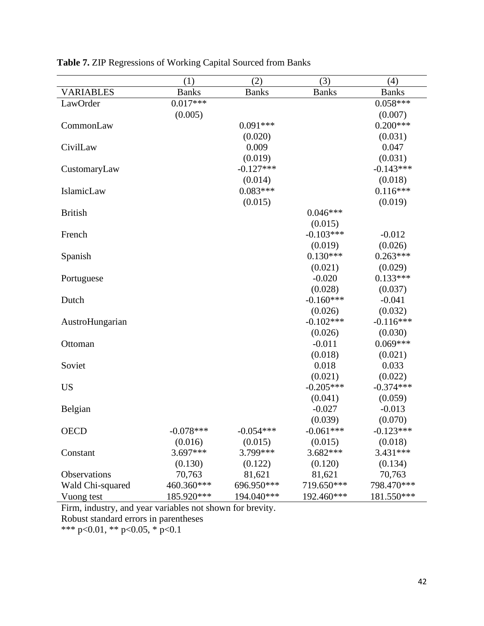|                  | (1)          | (2)          | (3)          | (4)          |
|------------------|--------------|--------------|--------------|--------------|
| <b>VARIABLES</b> | <b>Banks</b> | <b>Banks</b> | <b>Banks</b> | <b>Banks</b> |
| LawOrder         | $0.017***$   |              |              | $0.058***$   |
|                  | (0.005)      |              |              | (0.007)      |
| CommonLaw        |              | $0.091***$   |              | $0.200***$   |
|                  |              | (0.020)      |              | (0.031)      |
| CivilLaw         |              | 0.009        |              | 0.047        |
|                  |              | (0.019)      |              | (0.031)      |
| CustomaryLaw     |              | $-0.127***$  |              | $-0.143***$  |
|                  |              | (0.014)      |              | (0.018)      |
| IslamicLaw       |              | $0.083***$   |              | $0.116***$   |
|                  |              | (0.015)      |              | (0.019)      |
| <b>British</b>   |              |              | $0.046***$   |              |
|                  |              |              | (0.015)      |              |
| French           |              |              | $-0.103***$  | $-0.012$     |
|                  |              |              | (0.019)      | (0.026)      |
| Spanish          |              |              | $0.130***$   | $0.263***$   |
|                  |              |              | (0.021)      | (0.029)      |
| Portuguese       |              |              | $-0.020$     | $0.133***$   |
|                  |              |              | (0.028)      | (0.037)      |
| Dutch            |              |              | $-0.160***$  | $-0.041$     |
|                  |              |              | (0.026)      | (0.032)      |
| AustroHungarian  |              |              | $-0.102***$  | $-0.116***$  |
|                  |              |              | (0.026)      | (0.030)      |
| Ottoman          |              |              | $-0.011$     | $0.069***$   |
|                  |              |              | (0.018)      | (0.021)      |
| Soviet           |              |              | 0.018        | 0.033        |
|                  |              |              | (0.021)      | (0.022)      |
| <b>US</b>        |              |              | $-0.205***$  | $-0.374***$  |
|                  |              |              | (0.041)      | (0.059)      |
| Belgian          |              |              | $-0.027$     | $-0.013$     |
|                  |              |              | (0.039)      | (0.070)      |
| <b>OECD</b>      | $-0.078***$  | $-0.054***$  | $-0.061***$  | $-0.123***$  |
|                  | (0.016)      | (0.015)      | (0.015)      | (0.018)      |
| Constant         | 3.697***     | 3.799***     | $3.682***$   | 3.431 ***    |
|                  | (0.130)      | (0.122)      | (0.120)      | (0.134)      |
| Observations     | 70,763       | 81,621       | 81,621       | 70,763       |
| Wald Chi-squared | 460.360***   | 696.950***   | 719.650***   | 798.470***   |
| Vuong test       | 185.920***   | 194.040***   | 192.460***   | 181.550***   |

**Table 7.** ZIP Regressions of Working Capital Sourced from Banks

Robust standard errors in parentheses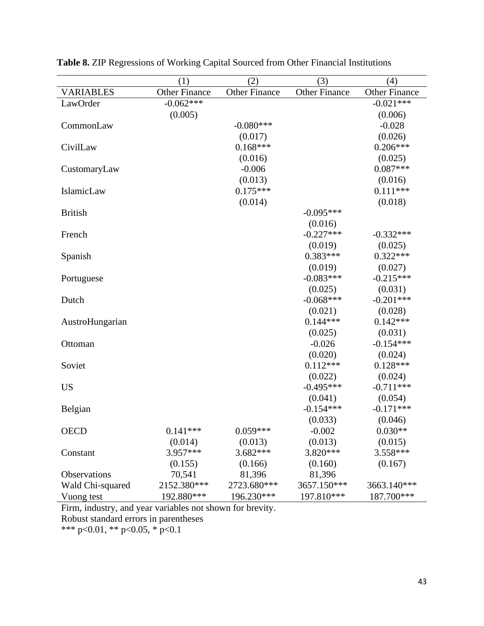|                  | (1)                  | (2)                  | (3)                  | (4)                  |
|------------------|----------------------|----------------------|----------------------|----------------------|
| <b>VARIABLES</b> | <b>Other Finance</b> | <b>Other Finance</b> | <b>Other Finance</b> | <b>Other Finance</b> |
| LawOrder         | $-0.062***$          |                      |                      | $-0.021***$          |
|                  | (0.005)              |                      |                      | (0.006)              |
| CommonLaw        |                      | $-0.080***$          |                      | $-0.028$             |
|                  |                      | (0.017)              |                      | (0.026)              |
| CivilLaw         |                      | $0.168***$           |                      | $0.206***$           |
|                  |                      | (0.016)              |                      | (0.025)              |
| CustomaryLaw     |                      | $-0.006$             |                      | $0.087***$           |
|                  |                      | (0.013)              |                      | (0.016)              |
| IslamicLaw       |                      | $0.175***$           |                      | $0.111***$           |
|                  |                      | (0.014)              |                      | (0.018)              |
| <b>British</b>   |                      |                      | $-0.095***$          |                      |
|                  |                      |                      | (0.016)              |                      |
| French           |                      |                      | $-0.227***$          | $-0.332***$          |
|                  |                      |                      | (0.019)              | (0.025)              |
| Spanish          |                      |                      | $0.383***$           | $0.322***$           |
|                  |                      |                      | (0.019)              | (0.027)              |
| Portuguese       |                      |                      | $-0.083***$          | $-0.215***$          |
|                  |                      |                      | (0.025)              | (0.031)              |
| Dutch            |                      |                      | $-0.068***$          | $-0.201***$          |
|                  |                      |                      | (0.021)              | (0.028)              |
| AustroHungarian  |                      |                      | $0.144***$           | $0.142***$           |
|                  |                      |                      | (0.025)              | (0.031)              |
| Ottoman          |                      |                      | $-0.026$             | $-0.154***$          |
|                  |                      |                      | (0.020)              | (0.024)              |
| Soviet           |                      |                      | $0.112***$           | $0.128***$           |
|                  |                      |                      | (0.022)              | (0.024)              |
| <b>US</b>        |                      |                      | $-0.495***$          | $-0.711***$          |
|                  |                      |                      | (0.041)              | (0.054)              |
| Belgian          |                      |                      | $-0.154***$          | $-0.171***$          |
|                  |                      |                      | (0.033)              | (0.046)              |
| <b>OECD</b>      | $0.141***$           | $0.059***$           | $-0.002$             | $0.030**$            |
|                  | (0.014)              | (0.013)              | (0.013)              | (0.015)              |
| Constant         | 3.957***             | 3.682***             | 3.820***             | $3.558***$           |
|                  | (0.155)              | (0.166)              | (0.160)              | (0.167)              |
| Observations     | 70,541               | 81,396               | 81,396               |                      |
| Wald Chi-squared | 2152.380***          | 2723.680***          | 3657.150***          | 3663.140***          |
| Vuong test       | 192.880***           | 196.230***           | 197.810***           | 187.700***           |

**Table 8.** ZIP Regressions of Working Capital Sourced from Other Financial Institutions

Robust standard errors in parentheses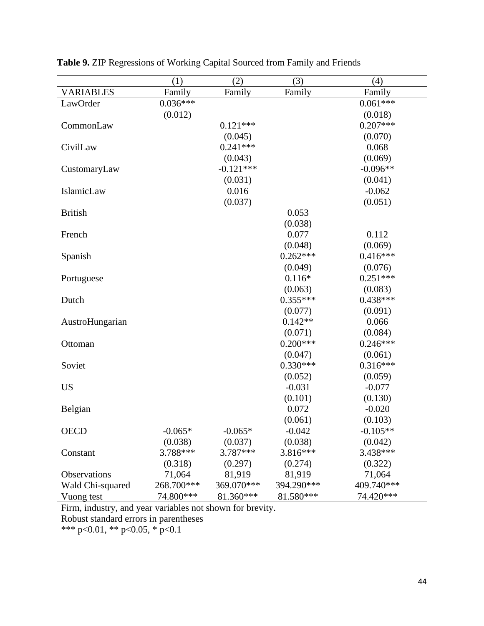|                  | (1)        | (2)         | (3)        | (4)        |
|------------------|------------|-------------|------------|------------|
| <b>VARIABLES</b> | Family     | Family      | Family     | Family     |
| LawOrder         | $0.036***$ |             |            | $0.061***$ |
|                  | (0.012)    |             |            | (0.018)    |
| CommonLaw        |            | $0.121***$  |            | $0.207***$ |
|                  |            | (0.045)     |            | (0.070)    |
| CivilLaw         |            | $0.241***$  |            | 0.068      |
|                  |            | (0.043)     |            | (0.069)    |
| CustomaryLaw     |            | $-0.121***$ |            | $-0.096**$ |
|                  |            | (0.031)     |            | (0.041)    |
| IslamicLaw       |            | 0.016       |            | $-0.062$   |
|                  |            | (0.037)     |            | (0.051)    |
| <b>British</b>   |            |             | 0.053      |            |
|                  |            |             | (0.038)    |            |
| French           |            |             | 0.077      | 0.112      |
|                  |            |             | (0.048)    | (0.069)    |
| Spanish          |            |             | $0.262***$ | $0.416***$ |
|                  |            |             | (0.049)    | (0.076)    |
| Portuguese       |            |             | $0.116*$   | $0.251***$ |
|                  |            |             | (0.063)    | (0.083)    |
| Dutch            |            |             | $0.355***$ | $0.438***$ |
|                  |            |             | (0.077)    | (0.091)    |
| AustroHungarian  |            |             | $0.142**$  | 0.066      |
|                  |            |             | (0.071)    | (0.084)    |
| Ottoman          |            |             | $0.200***$ | $0.246***$ |
|                  |            |             | (0.047)    | (0.061)    |
| Soviet           |            |             | $0.330***$ | $0.316***$ |
|                  |            |             | (0.052)    | (0.059)    |
| <b>US</b>        |            |             | $-0.031$   | $-0.077$   |
|                  |            |             | (0.101)    | (0.130)    |
| Belgian          |            |             | 0.072      | $-0.020$   |
|                  |            |             | (0.061)    | (0.103)    |
| <b>OECD</b>      | $-0.065*$  | $-0.065*$   | $-0.042$   | $-0.105**$ |
|                  | (0.038)    | (0.037)     | (0.038)    | (0.042)    |
| Constant         | 3.788***   | 3.787***    | 3.816***   | 3.438***   |
|                  | (0.318)    | (0.297)     | (0.274)    | (0.322)    |
| Observations     | 71,064     | 81,919      | 81,919     | 71,064     |
| Wald Chi-squared | 268.700*** | 369.070***  | 394.290*** | 409.740*** |
| Vuong test       | 74.800***  | 81.360***   | 81.580***  | 74.420***  |

**Table 9.** ZIP Regressions of Working Capital Sourced from Family and Friends

Robust standard errors in parentheses